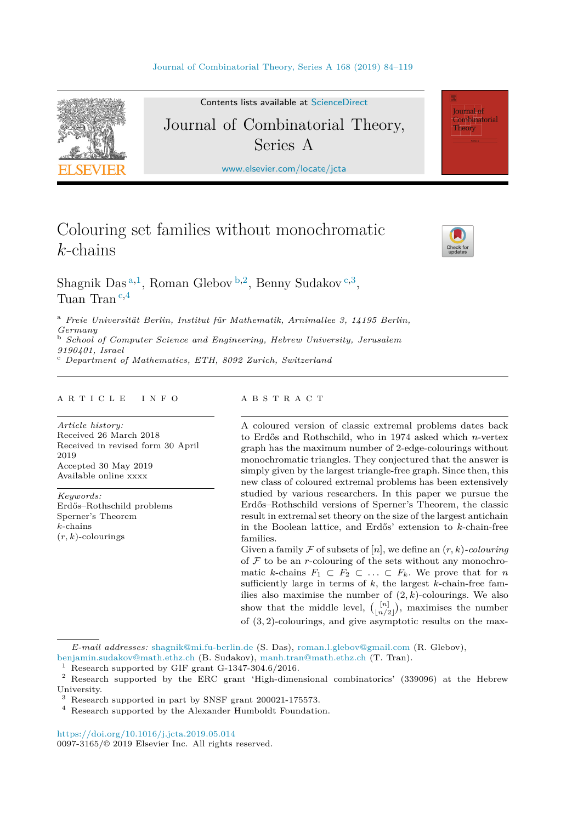

Contents lists available at [ScienceDirect](http://www.ScienceDirect.com/)

# Journal of Combinatorial Theory, Series A

[www.elsevier.com/locate/jcta](http://www.elsevier.com/locate/jcta)

# Colouring set families without monochromatic *k*-chains



**Journal** of Combinatorial Theory

Shagnik Das <sup>a</sup>*,*<sup>1</sup>, Roman Glebov <sup>b</sup>*,*<sup>2</sup>, Benny Sudakov <sup>c</sup>*,*<sup>3</sup>, Tuan Tran <sup>c</sup>*,*<sup>4</sup>

<sup>a</sup> *Freie Universität Berlin, Institut für Mathematik, Arnimal lee 3, 14195 Berlin, Germany*

<sup>b</sup> *School of Computer Science and Engineering, Hebrew University, Jerusalem*

*9190401, Israel* <sup>c</sup> *Department of Mathematics, ETH, <sup>8092</sup> Zurich, Switzerland*

#### A R T I C L E I N F O A B S T R A C T

*Article history:* Received 26 March 2018 Received in revised form 30 April 2019 Accepted 30 May 2019 Available online xxxx

*Keywords:* Erdős–Rothschild problems Sperner's Theorem *k*-chains (*r, k*)-colourings

A coloured version of classic extremal problems dates back to Erdős and Rothschild, who in 1974 asked which *n*-vertex graph has the maximum number of 2-edge-colourings without monochromatic triangles. They conjectured that the answer is simply given by the largest triangle-free graph. Since then, this new class of coloured extremal problems has been extensively studied by various researchers. In this paper we pursue the Erdős–Rothschild versions of Sperner's Theorem, the classic result in extremal set theory on the size of the largest antichain in the Boolean lattice, and Erdős' extension to *k*-chain-free families.

Given a family  $\mathcal F$  of subsets of  $[n]$ , we define an  $(r, k)$ -colouring of  $F$  to be an *r*-colouring of the sets without any monochromatic *k*-chains  $F_1 \subset F_2 \subset \ldots \subset F_k$ . We prove that for *n* sufficiently large in terms of *k*, the largest *k*-chain-free families also maximise the number of  $(2, k)$ -colourings. We also show that the middle level,  $\binom{[n]}{[n]}$  $\binom{[n]}{[n/2]}$ , maximises the number of (3*,* 2)-colourings, and give asymptotic results on the max-

<https://doi.org/10.1016/j.jcta.2019.05.014> 0097-3165/© 2019 Elsevier Inc. All rights reserved.

*E-mail addresses:* [shagnik@mi.fu-berlin.de](mailto:shagnik@mi.fu-berlin.de) (S. Das), [roman.l.glebov@gmail.com](mailto:roman.l.glebov@gmail.com) (R. Glebov),

[benjamin.sudakov@math.ethz.ch](mailto:benjamin.sudakov@math.ethz.ch) (B. Sudakov), [manh.tran@math.ethz.ch](mailto:manh.tran@math.ethz.ch) (T. Tran).

 $^1$  Research supported by GIF grant G-1347-304.6/2016.

<sup>2</sup> Research supported by the ERC grant 'High-dimensional combinatorics' (339096) at the Hebrew University.

 $^3$  Research supported in part by SNSF grant 200021-175573.

<sup>4</sup> Research supported by the Alexander Humboldt Foundation.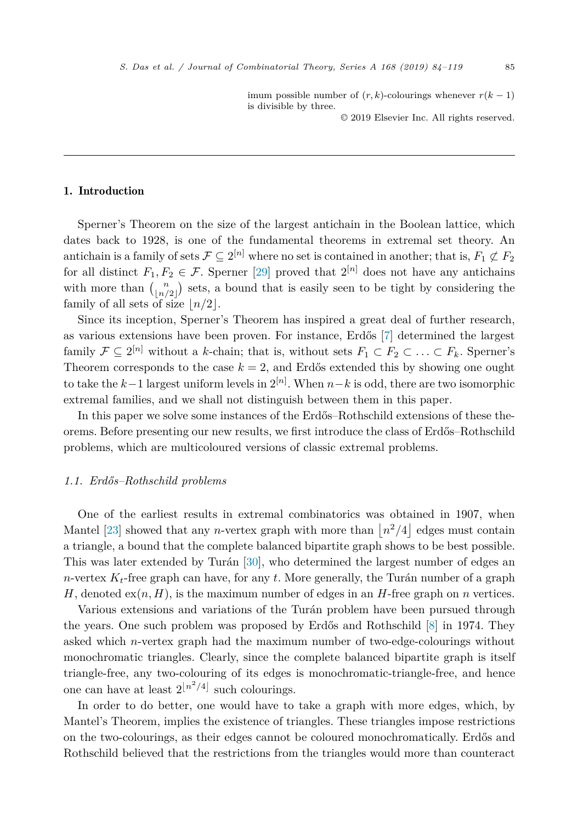imum possible number of  $(r, k)$ -colourings whenever  $r(k - 1)$ is divisible by three.

© 2019 Elsevier Inc. All rights reserved.

# 1. Introduction

Sperner's Theorem on the size of the largest antichain in the Boolean lattice, which dates back to 1928, is one of the fundamental theorems in extremal set theory. An antichain is a family of sets  $\mathcal{F} \subseteq 2^{[n]}$  where no set is contained in another; that is,  $F_1 \not\subset F_2$ for all distinct  $F_1, F_2 \in \mathcal{F}$ . Sperner [\[29\]](#page-35-0) proved that  $2^{[n]}$  does not have any antichains with more than  $\binom{n}{n}$  $\binom{n}{\lfloor n/2 \rfloor}$  sets, a bound that is easily seen to be tight by considering the family of all sets of size  $n/2$ .

Since its inception, Sperner's Theorem has inspired a great deal of further research, as various extensions have been proven. For instance, Erdős [\[7\]](#page-34-0) determined the largest family  $\mathcal{F} \subseteq 2^{[n]}$  without a *k*-chain; that is, without sets  $F_1 \subset F_2 \subset \ldots \subset F_k$ . Sperner's Theorem corresponds to the case  $k = 2$ , and Erdős extended this by showing one ought to take the *<sup>k</sup>*−1 largest uniform levels in <sup>2</sup>[*n*] . When *n*−*k* is odd, there are two isomorphic extremal families, and we shall not distinguish between them in this paper.

In this paper we solve some instances of the Erdős–Rothschild extensions of these theorems. Before presenting our new results, we first introduce the class of Erdős–Rothschild problems, which are multicoloured versions of classic extremal problems.

# *1.1. Erdős–Rothschild problems*

One of the earliest results in extremal combinatorics was obtained in 1907, when Mantel [\[23\]](#page-35-0) showed that any *n*-vertex graph with more than  $\left|n^2/4\right|$  edges must contain a triangle, a bound that the complete balanced bipartite graph shows to be best possible. This was later extended by Turán [\[30\]](#page-35-0), who determined the largest number of edges an *n*-vertex  $K_t$ -free graph can have, for any *t*. More generally, the Turán number of a graph *H*, denoted  $ex(n, H)$ , is the maximum number of edges in an *H*-free graph on *n* vertices.

Various extensions and variations of the Turán problem have been pursued through the years. One such problem was proposed by Erdős and Rothschild [\[8\]](#page-34-0) in 1974. They asked which *n*-vertex graph had the maximum number of two-edge-colourings without monochromatic triangles. Clearly, since the complete balanced bipartite graph is itself triangle-free, any two-colouring of its edges is monochromatic-triangle-free, and hence one can have at least  $2^{\lfloor n^2/4 \rfloor}$  such colourings.

In order to do better, one would have to take a graph with more edges, which, by Mantel's Theorem, implies the existence of triangles. These triangles impose restrictions on the two-colourings, as their edges cannot be coloured monochromatically. Erdős and Rothschild believed that the restrictions from the triangles would more than counteract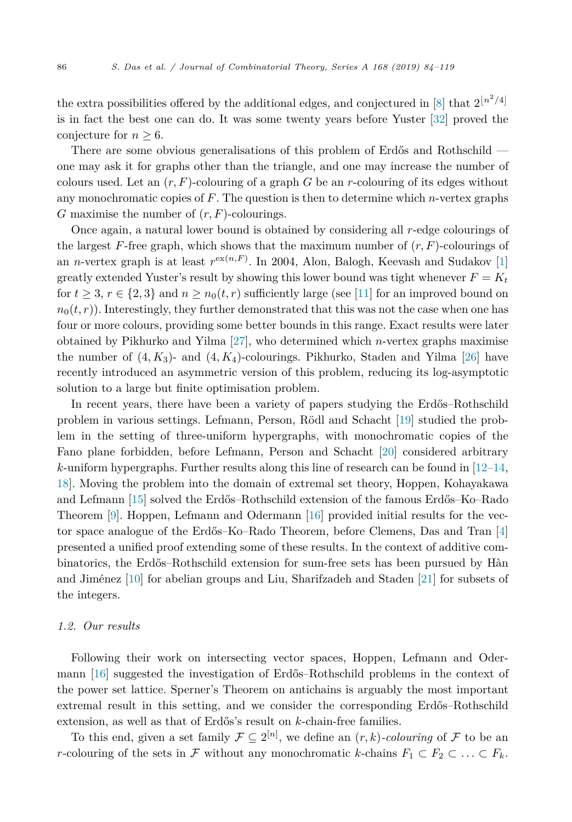the extra possibilities offered by the additional edges, and conjectured in  $[8]$  that  $2^{n^2/4}$ is in fact the best one can do. It was some twenty years before Yuster [\[32\]](#page-35-0) proved the conjecture for  $n \geq 6$ .

There are some obvious generalisations of this problem of Erdős and Rothschild one may ask it for graphs other than the triangle, and one may increase the number of colours used. Let an  $(r, F)$ -colouring of a graph  $G$  be an  $r$ -colouring of its edges without any monochromatic copies of *F*. The question is then to determine which *n*-vertex graphs *G* maximise the number of (*r, F*)-colourings.

Once again, a natural lower bound is obtained by considering all *r*-edge colourings of the largest  $F$ -free graph, which shows that the maximum number of  $(r, F)$ -colourings of an *n*-vertex graph is at least  $r^{\text{ex}(n,F)}$ . In 2004, Alon, Balogh, Keevash and Sudakov [\[1\]](#page-34-0) greatly extended Yuster's result by showing this lower bound was tight whenever  $F = K_t$ for  $t \geq 3$ ,  $r \in \{2,3\}$  and  $n \geq n_0(t,r)$  sufficiently large (see [\[11\]](#page-34-0) for an improved bound on  $n_0(t,r)$ ). Interestingly, they further demonstrated that this was not the case when one has four or more colours, providing some better bounds in this range. Exact results were later obtained by Pikhurko and Yilma [\[27\]](#page-35-0), who determined which *n*-vertex graphs maximise the number of  $(4, K_3)$ - and  $(4, K_4)$ -colourings. Pikhurko, Staden and Yilma [\[26\]](#page-35-0) have recently introduced an asymmetric version of this problem, reducing its log-asymptotic solution to a large but finite optimisation problem.

In recent years, there have been a variety of papers studying the Erdős–Rothschild problem in various settings. Lefmann, Person, Rödl and Schacht [\[19\]](#page-34-0) studied the problem in the setting of three-uniform hypergraphs, with monochromatic copies of the Fano plane forbidden, before Lefmann, Person and Schacht [\[20\]](#page-34-0) considered arbitrary *k*-uniform hypergraphs. Further results along this line of research can be found in [\[12–14,](#page-34-0) [18\]](#page-34-0). Moving the problem into the domain of extremal set theory, Hoppen, Kohayakawa and Lefmann [\[15\]](#page-34-0) solved the Erdős–Rothschild extension of the famous Erdős–Ko–Rado Theorem [\[9\]](#page-34-0). Hoppen, Lefmann and Odermann [\[16\]](#page-34-0) provided initial results for the vector space analogue of the Erdős–Ko–Rado Theorem, before Clemens, Das and Tran [\[4\]](#page-34-0) presented a unified proof extending some of these results. In the context of additive combinatorics, the Erdős–Rothschild extension for sum-free sets has been pursued by Hàn and Jiménez [\[10\]](#page-34-0) for abelian groups and Liu, Sharifzadeh and Staden [\[21\]](#page-35-0) for subsets of the integers.

#### *1.2. Our results*

Following their work on intersecting vector spaces, Hoppen, Lefmann and Odermann [\[16\]](#page-34-0) suggested the investigation of Erdős–Rothschild problems in the context of the power set lattice. Sperner's Theorem on antichains is arguably the most important extremal result in this setting, and we consider the corresponding Erdős–Rothschild extension, as well as that of Erdős's result on *k*-chain-free families.

To this end, given a set family  $\mathcal{F} \subseteq 2^{[n]}$ , we define an  $(r, k)$ *-colouring* of  $\mathcal F$  to be an *r*-colouring of the sets in F without any monochromatic *k*-chains  $F_1 \subset F_2 \subset \ldots \subset F_k$ .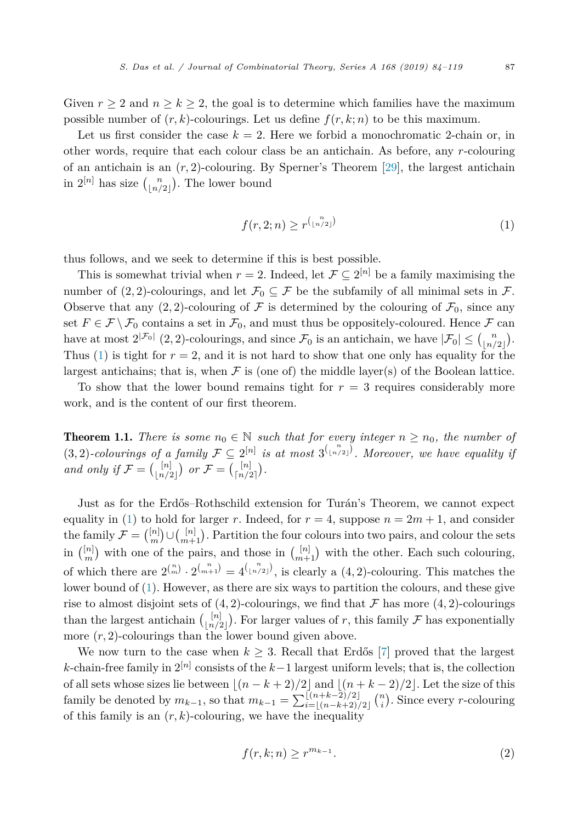<span id="page-3-0"></span>Given  $r \geq 2$  and  $n \geq k \geq 2$ , the goal is to determine which families have the maximum possible number of  $(r, k)$ -colourings. Let us define  $f(r, k; n)$  to be this maximum.

Let us first consider the case  $k = 2$ . Here we forbid a monochromatic 2-chain or, in other words, require that each colour class be an antichain. As before, any *r*-colouring of an antichain is an (*r,* 2)-colouring. By Sperner's Theorem [\[29\]](#page-35-0), the largest antichain in  $2^{[n]}$  has size  $\binom{n}{n}$  $\binom{n}{\lfloor n/2 \rfloor}$ . The lower bound

$$
f(r,2;n) \ge r^{\binom{n}{\lfloor n/2 \rfloor}} \tag{1}
$$

thus follows, and we seek to determine if this is best possible.

This is somewhat trivial when  $r = 2$ . Indeed, let  $\mathcal{F} \subset 2^{[n]}$  be a family maximising the number of (2, 2)-colourings, and let  $\mathcal{F}_0 \subset \mathcal{F}$  be the subfamily of all minimal sets in  $\mathcal{F}$ . Observe that any  $(2, 2)$ -colouring of F is determined by the colouring of  $\mathcal{F}_0$ , since any set  $F \in \mathcal{F} \setminus \mathcal{F}_0$  contains a set in  $\mathcal{F}_0$ , and must thus be oppositely-coloured. Hence  $\mathcal F$  can have at most  $2^{|\mathcal{F}_0|}(2,2)$ -colourings, and since  $\mathcal{F}_0$  is an antichain, we have  $|\mathcal{F}_0| \leq {n \choose \lfloor n/2 \rfloor}$  $\binom{n}{\lfloor n/2 \rfloor}$ . Thus (1) is tight for  $r = 2$ , and it is not hard to show that one only has equality for the largest antichains; that is, when  $\mathcal F$  is (one of) the middle layer(s) of the Boolean lattice.

To show that the lower bound remains tight for  $r = 3$  requires considerably more work, and is the content of our first theorem.

**Theorem 1.1.** *There is some*  $n_0 \in \mathbb{N}$  *such that for every integer*  $n \geq n_0$ *, the number of*  $(3, 2)$ -colourings of a family  $\mathcal{F} \subseteq 2^{[n]}$  is at most  $3^{n \choose 2}$ . Moreover, we have equality if *and only if*  $\mathcal{F} = \begin{pmatrix} [n] \\ \lfloor n/2 \rfloor \end{pmatrix}$  $\binom{[n]}{\lfloor n/2 \rfloor}$  or  $\mathcal{F} = \binom{[n]}{\lceil n/2 \rceil}$  $\binom{[n]}{[n/2]}$ .

Just as for the Erdős–Rothschild extension for Turán's Theorem, we cannot expect equality in (1) to hold for larger *r*. Indeed, for  $r = 4$ , suppose  $n = 2m + 1$ , and consider the family  $\mathcal{F} = \binom{[n]}{m} \cup \binom{[n]}{m+1}$ . Partition the four colours into two pairs, and colour the sets in  $\binom{[n]}{m}$  with one of the pairs, and those in  $\binom{[n]}{m+1}$  with the other. Each such colouring, of which there are  $2^{n \choose m} \cdot 2^{n \choose m+1} = 4^{n \choose \lfloor n/2 \rfloor}$ , is clearly a  $(4, 2)$ -colouring. This matches the lower bound of (1). However, as there are six ways to partition the colours, and these give rise to almost disjoint sets of  $(4, 2)$ -colourings, we find that  $\mathcal F$  has more  $(4, 2)$ -colourings than the largest antichain  $\binom{[n]}{[n]}$  $\lfloor \frac{[n]}{[n/2]} \rfloor$ . For larger values of *r*, this family *F* has exponentially more (*r,* 2)-colourings than the lower bound given above.

We now turn to the case when  $k \geq 3$ . Recall that Erdős [\[7\]](#page-34-0) proved that the largest *<sup>k</sup>*-chain-free family in <sup>2</sup>[*n*] consists of the *<sup>k</sup>*−1 largest uniform levels; that is, the collection of all sets whose sizes lie between  $\lfloor (n-k+2)/2 \rfloor$  and  $\lfloor (n+k-2)/2 \rfloor$ . Let the size of this family be denoted by  $m_{k-1}$ , so that  $m_{k-1} = \sum_{i=1}^{\lfloor (n+k-2)/2 \rfloor}$  $\prod_{i=1}^{(n+k-2)/2}$   $\binom{n}{i}$ . Since every *r*-colouring of this family is an  $(r, k)$ -colouring, we have the inequality

$$
f(r,k;n) \ge r^{m_{k-1}}.\tag{2}
$$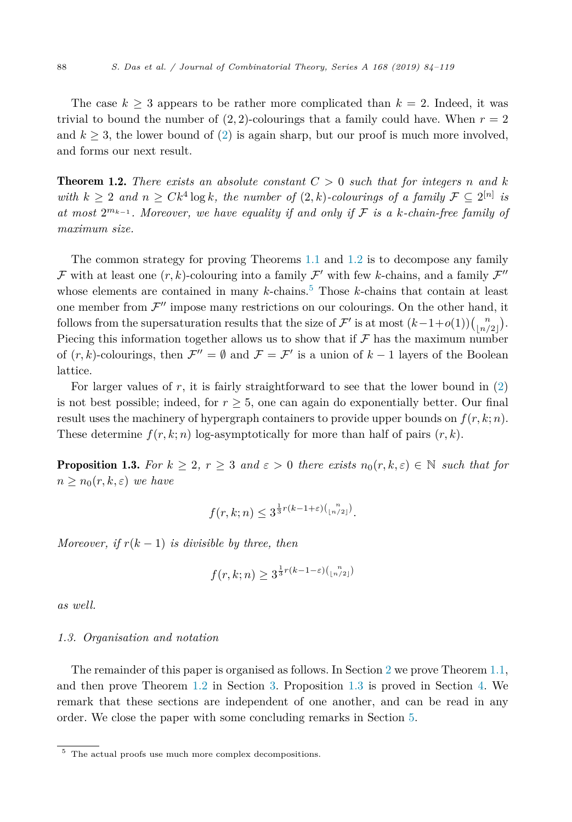<span id="page-4-0"></span>The case  $k \geq 3$  appears to be rather more complicated than  $k = 2$ . Indeed, it was trivial to bound the number of  $(2, 2)$ -colourings that a family could have. When  $r = 2$ and  $k \geq 3$ , the lower bound of [\(2\)](#page-3-0) is again sharp, but our proof is much more involved, and forms our next result.

**Theorem 1.2.** There exists an absolute constant  $C > 0$  such that for integers n and k *with*  $k \geq 2$  *and*  $n \geq Ck^4 \log k$ *, the number of*  $(2, k)$ *-colourings of a family*  $\mathcal{F} \subseteq 2^{[n]}$  *is at most*  $2^{m_k-1}$ *. Moreover, we have equality if and only if*  $F$  *is a k-chain-free family of maximum size.*

The common strategy for proving Theorems [1.1](#page-3-0) and 1.2 is to decompose any family F with at least one  $(r, k)$ -colouring into a family  $\mathcal{F}'$  with few *k*-chains, and a family  $\mathcal{F}''$ whose elements are contained in many *k*-chains.<sup>5</sup> Those *k*-chains that contain at least one member from  $\mathcal{F}''$  impose many restrictions on our colourings. On the other hand, it follows from the supersaturation results that the size of  $\mathcal{F}'$  is at most  $(k-1+o(1))\binom{n}{\lfloor n/2 \rfloor}$ . Piecing this information together allows us to show that if  $\mathcal F$  has the maximum number of  $(r, k)$ -colourings, then  $\mathcal{F}'' = \emptyset$  and  $\mathcal{F} = \mathcal{F}'$  is a union of  $k-1$  layers of the Boolean lattice.

For larger values of *r*, it is fairly straightforward to see that the lower bound in [\(2\)](#page-3-0) is not best possible; indeed, for  $r \geq 5$ , one can again do exponentially better. Our final result uses the machinery of hypergraph containers to provide upper bounds on  $f(r, k; n)$ . These determine  $f(r, k; n)$  log-asymptotically for more than half of pairs  $(r, k)$ .

**Proposition 1.3.** For  $k \geq 2$ ,  $r \geq 3$  and  $\varepsilon > 0$  there exists  $n_0(r, k, \varepsilon) \in \mathbb{N}$  such that for  $n \geq n_0(r, k, \varepsilon)$  *we have* 

$$
f(r,k;n) \leq 3^{\frac{1}{3}r(k-1+\varepsilon)\binom{n}{\lfloor n/2\rfloor}}.
$$

*Moreover, if*  $r(k-1)$  *is divisible by three, then* 

$$
f(r,k;n) \ge 3^{\frac{1}{3}r(k-1-\varepsilon)\binom{n}{\lfloor n/2\rfloor}}
$$

*as well.*

#### *1.3. Organisation and notation*

The remainder of this paper is organised as follows. In Section [2](#page-5-0) we prove Theorem [1.1,](#page-3-0) and then prove Theorem 1.2 in Section [3.](#page-10-0) Proposition 1.3 is proved in Section [4.](#page-31-0) We remark that these sections are independent of one another, and can be read in any order. We close the paper with some concluding remarks in Section [5.](#page-32-0)

<sup>5</sup> The actual proofs use much more complex decompositions.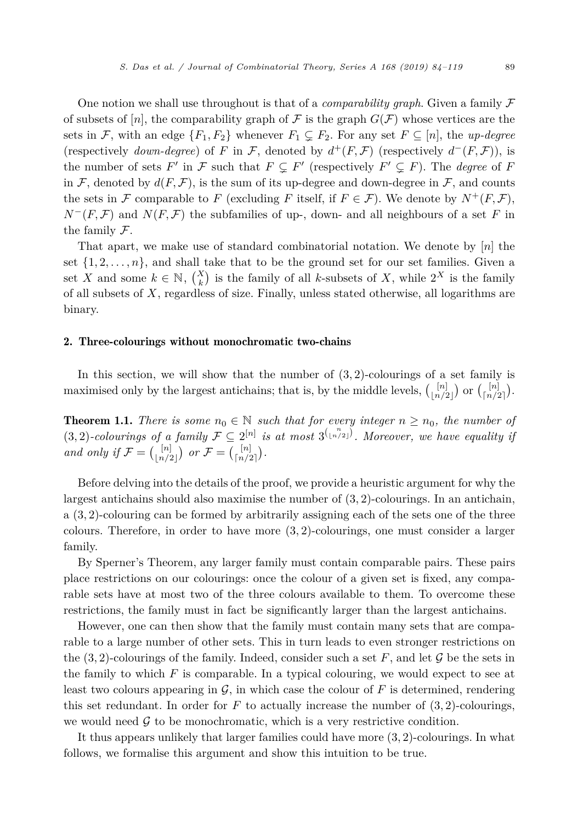<span id="page-5-0"></span>One notion we shall use throughout is that of a *comparability graph*. Given a family F of subsets of  $[n]$ , the comparability graph of F is the graph  $G(\mathcal{F})$  whose vertices are the sets in F, with an edge  $\{F_1, F_2\}$  whenever  $F_1 \subsetneq F_2$ . For any set  $F \subseteq [n]$ , the *up-degree* (respectively *down-degree*) of *F* in  $\mathcal F$ , denoted by  $d^+(F,\mathcal F)$  (respectively  $d^-(F,\mathcal F)$ ), is the number of sets  $F'$  in  $\mathcal F$  such that  $F \subsetneq F'$  (respectively  $F' \subsetneq F$ ). The *degree* of  $F$ in F, denoted by  $d(F,\mathcal{F})$ , is the sum of its up-degree and down-degree in F, and counts the sets in F comparable to F (excluding F itself, if  $F \in \mathcal{F}$ ). We denote by  $N^+(F,\mathcal{F})$ ,  $N^-(F, \mathcal{F})$  and  $N(F, \mathcal{F})$  the subfamilies of up-, down- and all neighbours of a set *F* in the family  $\mathcal{F}.$ 

That apart, we make use of standard combinatorial notation. We denote by [*n*] the set  $\{1, 2, \ldots, n\}$ , and shall take that to be the ground set for our set families. Given a set *X* and some  $k \in \mathbb{N}$ ,  $\binom{X}{k}$  is the family of all *k*-subsets of *X*, while  $2^X$  is the family of all subsets of *X*, regardless of size. Finally, unless stated otherwise, all logarithms are binary.

# 2. Three-colourings without monochromatic two-chains

In this section, we will show that the number of (3*,* 2)-colourings of a set family is maximised only by the largest antichains; that is, by the middle levels,  $\binom{[n]}{[n]'}$  $\binom{[n]}{[n/2]}$  or  $\binom{[n]}{\lceil n/2 \rceil}$  $\binom{[n]}{[n/2]}$ .

**Theorem 1.1.** *There is some*  $n_0 \in \mathbb{N}$  *such that for every integer*  $n \geq n_0$ *, the number of*  $(3, 2)$ -colourings of a family  $\mathcal{F} \subseteq 2^{[n]}$  is at most  $3^{n \choose 2}$ . Moreover, we have equality if *and only if*  $\mathcal{F} = \binom{[n]}{\lfloor n/2 \rfloor}$  $\binom{[n]}{\lfloor n/2 \rfloor}$  or  $\mathcal{F} = \binom{[n]}{\lceil n/2 \rceil}$  $\binom{[n]}{[n/2]}$ .

Before delving into the details of the proof, we provide a heuristic argument for why the largest antichains should also maximise the number of (3*,* 2)-colourings. In an antichain, a (3*,* 2)-colouring can be formed by arbitrarily assigning each of the sets one of the three colours. Therefore, in order to have more (3*,* 2)-colourings, one must consider a larger family.

By Sperner's Theorem, any larger family must contain comparable pairs. These pairs place restrictions on our colourings: once the colour of a given set is fixed, any comparable sets have at most two of the three colours available to them. To overcome these restrictions, the family must in fact be significantly larger than the largest antichains.

However, one can then show that the family must contain many sets that are comparable to a large number of other sets. This in turn leads to even stronger restrictions on the  $(3, 2)$ -colourings of the family. Indeed, consider such a set  $F$ , and let  $\mathcal G$  be the sets in the family to which *F* is comparable. In a typical colouring, we would expect to see at least two colours appearing in  $\mathcal{G}$ , in which case the colour of  $F$  is determined, rendering this set redundant. In order for  $F$  to actually increase the number of  $(3, 2)$ -colourings, we would need  $\mathcal G$  to be monochromatic, which is a very restrictive condition.

It thus appears unlikely that larger families could have more (3*,* 2)-colourings. In what follows, we formalise this argument and show this intuition to be true.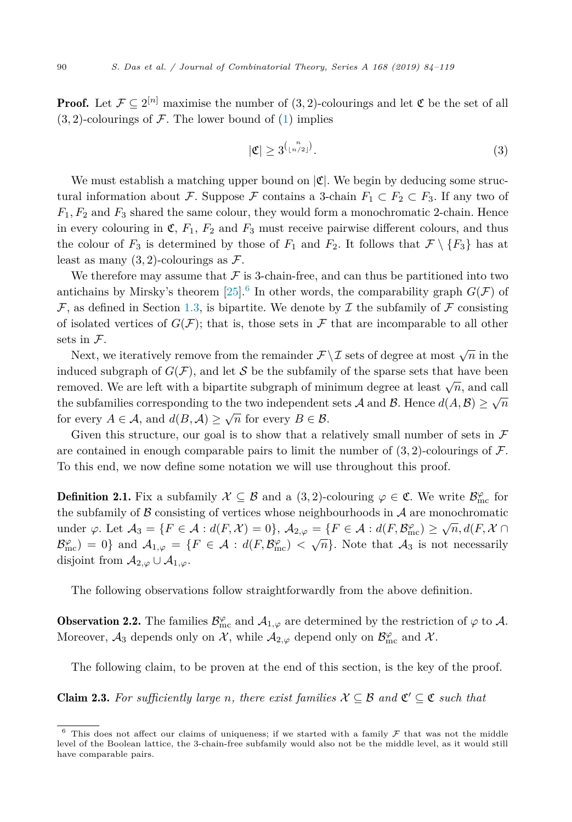<span id="page-6-0"></span>**Proof.** Let  $\mathcal{F} \subseteq 2^{[n]}$  maximise the number of  $(3, 2)$ -colourings and let  $\mathfrak{C}$  be the set of all  $(3, 2)$ -colourings of  $F$ . The lower bound of  $(1)$  implies

$$
|\mathfrak{C}| \ge 3^{\binom{n}{\lfloor n/2 \rfloor}}.
$$
 (3)

We must establish a matching upper bound on  $|\mathfrak{C}|$ . We begin by deducing some structural information about F. Suppose F contains a 3-chain  $F_1 \subset F_2 \subset F_3$ . If any two of  $F_1, F_2$  and  $F_3$  shared the same colour, they would form a monochromatic 2-chain. Hence in every colouring in  $\mathfrak{C}, F_1, F_2$  and  $F_3$  must receive pairwise different colours, and thus the colour of  $F_3$  is determined by those of  $F_1$  and  $F_2$ . It follows that  $\mathcal{F}\setminus\{F_3\}$  has at least as many  $(3, 2)$ -colourings as  $\mathcal{F}$ .

We therefore may assume that  $\mathcal F$  is 3-chain-free, and can thus be partitioned into two antichains by Mirsky's theorem [\[25\]](#page-35-0).<sup>6</sup> In other words, the comparability graph  $G(\mathcal{F})$  of  $\mathcal F$ , as defined in Section [1.3,](#page-4-0) is bipartite. We denote by  $\mathcal I$  the subfamily of  $\mathcal F$  consisting of isolated vertices of  $G(\mathcal{F})$ ; that is, those sets in  $\mathcal{F}$  that are incomparable to all other sets in F.

Next, we iteratively remove from the remainder  $\mathcal{F}\setminus\mathcal{I}$  sets of degree at most  $\sqrt{n}$  in the induced subgraph of  $G(\mathcal{F})$ , and let S be the subfamily of the sparse sets that have been removed. We are left with a bipartite subgraph of minimum degree at least  $\sqrt{n}$ , and call the subfamilies corresponding to the two independent sets A and B. Hence  $d(A, B) \geq \sqrt{n}$ for every  $A \in \mathcal{A}$ , and  $d(B, \mathcal{A}) \geq \sqrt{n}$  for every  $B \in \mathcal{B}$ .

Given this structure, our goal is to show that a relatively small number of sets in  $\mathcal F$ are contained in enough comparable pairs to limit the number of  $(3, 2)$ -colourings of  $\mathcal{F}$ . To this end, we now define some notation we will use throughout this proof.

**Definition 2.1.** Fix a subfamily  $X \subseteq B$  and a  $(3, 2)$ -colouring  $\varphi \in \mathfrak{C}$ . We write  $\mathcal{B}_{\text{mc}}^{\varphi}$  for the subfamily of  $\beta$  consisting of vertices whose neighbourhoods in  $\mathcal A$  are monochromatic under  $\varphi$ . Let  $\mathcal{A}_3 = \{F \in \mathcal{A} : d(F, \mathcal{X}) = 0\}$ ,  $\mathcal{A}_{2,\varphi} = \{F \in \mathcal{A} : d(F, \mathcal{B}_{\text{mc}}^{\varphi}) \geq \sqrt{n}, d(F, \mathcal{X} \cap \mathcal{A}_{\text{mc}})\}$  $\mathcal{B}_{\text{mc}}^{\varphi}$  = 0} and  $\mathcal{A}_{1,\varphi} = \{F \in \mathcal{A} : d(F, \mathcal{B}_{\text{mc}}^{\varphi}) < \sqrt{n}\}$ . Note that  $\mathcal{A}_3$  is not necessarily disjoint from  $A_{2,\varphi} \cup A_{1,\varphi}$ .

The following observations follow straightforwardly from the above definition.

**Observation 2.2.** The families  $\mathcal{B}_{\text{mc}}^{\varphi}$  and  $\mathcal{A}_{1,\varphi}$  are determined by the restriction of  $\varphi$  to  $\mathcal{A}$ . Moreover,  $\mathcal{A}_3$  depends only on  $\mathcal{X}$ , while  $\mathcal{A}_{2,\varphi}$  depend only on  $\mathcal{B}^{\varphi}_{\text{mc}}$  and  $\mathcal{X}$ .

The following claim, to be proven at the end of this section, is the key of the proof.

**Claim 2.3.** For sufficiently large *n*, there exist families  $\mathcal{X} \subseteq \mathcal{B}$  and  $\mathfrak{C}' \subseteq \mathfrak{C}$  such that

<sup>&</sup>lt;sup>6</sup> This does not affect our claims of uniqueness; if we started with a family  $\mathcal F$  that was not the middle level of the Boolean lattice, the 3-chain-free subfamily would also not be the middle level, as it would still have comparable pairs.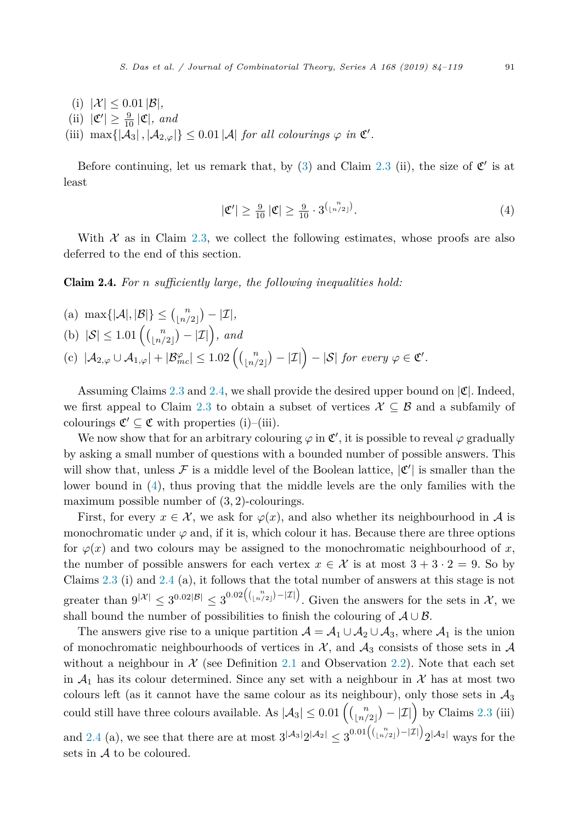<span id="page-7-0"></span>(i)  $|\mathcal{X}| \leq 0.01 |\mathcal{B}|$ , (ii)  $|\mathfrak{C}'| \geq \frac{9}{10} |\mathfrak{C}|$ , and (iii)  $\max\{|\mathcal{A}_3|, |\mathcal{A}_{2,\varphi}|\} \leq 0.01 |\mathcal{A}|$  *for all colourings*  $\varphi$  *in*  $\mathfrak{C}'$ *.* 

Before continuing, let us remark that, by [\(3\)](#page-6-0) and Claim [2.3](#page-6-0) (ii), the size of  $\mathfrak{C}'$  is at least

$$
|\mathfrak{C}'| \ge \frac{9}{10} |\mathfrak{C}| \ge \frac{9}{10} \cdot 3^{\binom{n}{\lfloor n/2 \rfloor}}.
$$
 (4)

With  $\mathcal X$  as in Claim [2.3,](#page-6-0) we collect the following estimates, whose proofs are also deferred to the end of this section.

Claim 2.4. *For n sufficiently large, the following inequalities hold:*

(a)  $\max\{|A|, |\mathcal{B}|\} \leq {n \choose \lfloor n/2 \rfloor} - |\mathcal{I}|,$ (b)  $|S| \le 1.01 \left( {n \choose \lfloor n/2 \rfloor} - |\mathcal{I}| \right)$ , and - $\left| \left( \begin{array}{c} c \end{array} \right) \right| \mathcal{A}_{2,\varphi} \cup \mathcal{A}_{1,\varphi} | + |\mathcal{B}^{\varphi}_{mc}| \leq 1.02 \left( \binom{n}{\lfloor n / 2 \rfloor} \right)$  $\binom{n}{\lfloor n/2 \rfloor} - |\mathcal{I}| - |\mathcal{S}|$  for every  $\varphi \in \mathfrak{C}'$ .

Assuming Claims [2.3](#page-6-0) and 2.4, we shall provide the desired upper bound on  $|\mathfrak{C}|$ . Indeed, we first appeal to Claim [2.3](#page-6-0) to obtain a subset of vertices  $\mathcal{X} \subseteq \mathcal{B}$  and a subfamily of colourings  $\mathfrak{C}' \subseteq \mathfrak{C}$  with properties (i)–(iii).

We now show that for an arbitrary colouring  $\varphi$  in  $\mathfrak{C}'$ , it is possible to reveal  $\varphi$  gradually by asking a small number of questions with a bounded number of possible answers. This will show that, unless  $\mathcal F$  is a middle level of the Boolean lattice,  $|\mathfrak{C}'|$  is smaller than the lower bound in (4), thus proving that the middle levels are the only families with the maximum possible number of (3*,* 2)-colourings.

First, for every  $x \in \mathcal{X}$ , we ask for  $\varphi(x)$ , and also whether its neighbourhood in A is monochromatic under  $\varphi$  and, if it is, which colour it has. Because there are three options for  $\varphi(x)$  and two colours may be assigned to the monochromatic neighbourhood of x, the number of possible answers for each vertex  $x \in \mathcal{X}$  is at most  $3 + 3 \cdot 2 = 9$ . So by Claims [2.3](#page-6-0) (i) and 2.4 (a), it follows that the total number of answers at this stage is not greater than  $9^{|\mathcal{X}|} \leq 3^{0.02|\mathcal{B}|} \leq 3^{0.02\left(\binom{n}{\lfloor n/2\rfloor} - |\mathcal{I}| \right)}$ . Given the answers for the sets in X, we shall bound the number of possibilities to finish the colouring of  $\mathcal{A} \cup \mathcal{B}$ .

The answers give rise to a unique partition  $A = A_1 \cup A_2 \cup A_3$ , where  $A_1$  is the union of monochromatic neighbourhoods of vertices in  $\mathcal{X}$ , and  $\mathcal{A}_3$  consists of those sets in  $\mathcal{A}$ without a neighbour in  $\mathcal X$  (see Definition [2.1](#page-6-0) and Observation [2.2\)](#page-6-0). Note that each set in  $\mathcal{A}_1$  has its colour determined. Since any set with a neighbour in X has at most two colours left (as it cannot have the same colour as its neighbour), only those sets in  $\mathcal{A}_3$ could still have three colours available. As  $|\mathcal{A}_3| \leq 0.01 \left( \binom{n}{\lfloor n / n \rfloor} \right)$  $\binom{n}{\lfloor n/2 \rfloor} - |\mathcal{I}|$  by Claims [2.3](#page-6-0) (iii) and 2.4 (a), we see that there are at most  $3^{|A_3|}2^{|A_2|} \leq 3^{0.01(\binom{n}{\lfloor n/2 \rfloor} - |\mathcal{I}|)}2^{|A_2|}$  ways for the sets in A to be coloured.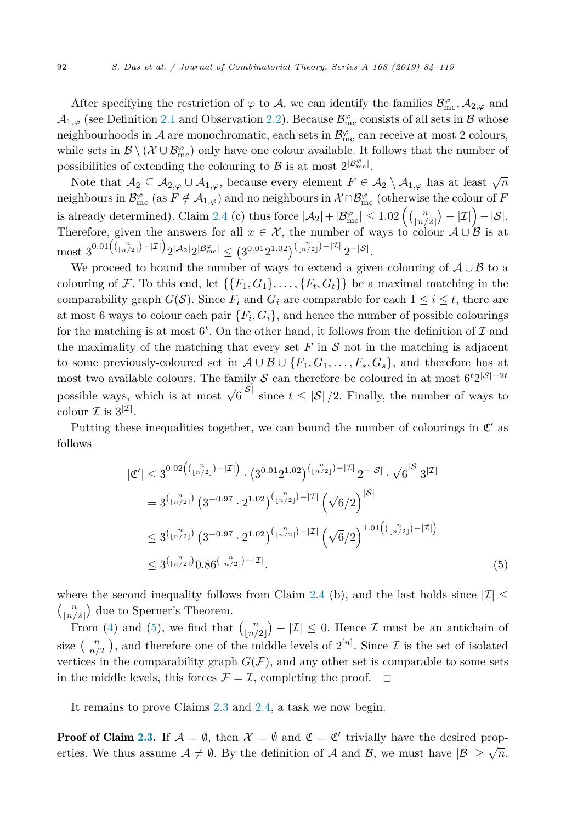After specifying the restriction of  $\varphi$  to  $\mathcal{A}$ , we can identify the families  $\mathcal{B}^{\varphi}_{\text{mc}}, \mathcal{A}_{2,\varphi}$  and  $\mathcal{A}_{1,\varphi}$  (see Definition [2.1](#page-6-0) and Observation [2.2\)](#page-6-0). Because  $\mathcal{B}^{\varphi}_{\text{mc}}$  consists of all sets in  $\mathcal B$  whose neighbourhoods in  $\mathcal A$  are monochromatic, each sets in  $\mathcal B^\varphi_{\text{mc}}$  can receive at most 2 colours, while sets in  $\mathcal{B} \setminus (\mathcal{X} \cup \mathcal{B}_{\text{mc}}^{\varphi})$  only have one colour available. It follows that the number of possibilities of extending the colouring to  $\mathcal{B}$  is at most  $2^{|\mathcal{B}_{mc}^{\varphi}|}$ .

Note that  $A_2 \subseteq A_{2,\varphi} \cup A_{1,\varphi}$ , because every element  $F \in A_2 \setminus A_{1,\varphi}$  has at least  $\sqrt{n}$ neighbours in  $\mathcal{B}^{\varphi}_{\text{mc}}$  (as  $F \notin \mathcal{A}_{1,\varphi}$ ) and no neighbours in  $\mathcal{X} \cap \mathcal{B}^{\varphi}_{\text{mc}}$  (otherwise the colour of  $F$ is already determined). Claim [2.4](#page-7-0) (c) thus force  $|\mathcal{A}_2| + |\mathcal{B}_{\text{mc}}^{\varphi}| \leq 1.02 \left( \binom{n}{\lfloor n / 2 \rfloor} \right)$  $\binom{n}{\lfloor n/2 \rfloor} - |\mathcal{I}| - |\mathcal{S}|.$ Therefore, given the answers for all  $x \in \mathcal{X}$ , the number of ways to colour  $\mathcal{A} \cup \mathcal{B}$  is at  $\mathrm{most}\ 3^{0.01\left(\binom{n}{\lfloor n/2\rfloor}-|\mathcal{I}| \right)} 2^{|\mathcal{A}_2|} 2^{|\mathcal{B}^{\varphi}_{\mathrm{mc}}|} \leq \big(3^{0.01} 2^{1.02}\big)^{\left(\binom{n}{\lfloor n/2\rfloor}-|\mathcal{I}|} 2^{-|\mathcal{S}|}.$ 

We proceed to bound the number of ways to extend a given colouring of  $\mathcal{A} \cup \mathcal{B}$  to a colouring of F. To this end, let  $\{\{F_1, G_1\}, \ldots, \{F_t, G_t\}\}\)$  be a maximal matching in the comparability graph  $G(\mathcal{S})$ . Since  $F_i$  and  $G_i$  are comparable for each  $1 \leq i \leq t$ , there are at most 6 ways to colour each pair  ${F_i, G_i}$ , and hence the number of possible colourings for the matching is at most  $6^t$ . On the other hand, it follows from the definition of  $\mathcal I$  and the maximality of the matching that every set  $F$  in  $S$  not in the matching is adjacent to some previously-coloured set in  $A \cup B \cup \{F_1, G_1, \ldots, F_s, G_s\}$ , and therefore has at most two available colours. The family S can therefore be coloured in at most  $6t^2$ <sup>[S|−2*t*</sup>] possible ways, which is at most  $\sqrt{6}^{|S|}$  since  $t \leq |S|/2$ . Finally, the number of ways to colour  $\mathcal I$  is  $3^{|\mathcal I|}$ .

Putting these inequalities together, we can bound the number of colourings in  $\mathfrak{C}'$  as follows

$$
|\mathfrak{C}'| \leq 3^{0.02\left(\binom{n}{\lfloor n/2\rfloor} - |\mathcal{I}| \right)} \cdot \left(3^{0.01} 2^{1.02}\right)^{\binom{n}{\lfloor n/2\rfloor} - |\mathcal{I}|} 2^{-|\mathcal{S}|} \cdot \sqrt{6}^{|\mathcal{S}|} 3^{|\mathcal{I}|}
$$
  
\n
$$
= 3^{\binom{n}{\lfloor n/2\rfloor}} \left(3^{-0.97} \cdot 2^{1.02}\right)^{\binom{n}{\lfloor n/2\rfloor} - |\mathcal{I}|} \left(\sqrt{6}/2\right)^{|\mathcal{S}|}
$$
  
\n
$$
\leq 3^{\binom{n}{\lfloor n/2\rfloor}} \left(3^{-0.97} \cdot 2^{1.02}\right)^{\binom{n}{\lfloor n/2\rfloor} - |\mathcal{I}|} \left(\sqrt{6}/2\right)^{1.01\left(\binom{n}{\lfloor n/2\rfloor} - |\mathcal{I}| \right)}
$$
  
\n
$$
\leq 3^{\binom{n}{\lfloor n/2\rfloor}} 0.86^{\binom{n}{\lfloor n/2\rfloor} - |\mathcal{I}|}, \tag{5}
$$

where the second inequality follows from Claim [2.4](#page-7-0) (b), and the last holds since  $|\mathcal{I}| \leq$  $\binom{n}{\lfloor n/2\rfloor}$  $\binom{n}{\lfloor n/2 \rfloor}$  due to Sperner's Theorem.

From [\(4\)](#page-7-0) and (5), we find that  $\binom{n}{n'}$  $\binom{n}{\lfloor n/2 \rfloor} - |\mathcal{I}| \leq 0$ . Hence  $\mathcal I$  must be an antichain of size  $\binom{n}{\lfloor n/2 \rfloor}$ , and therefore one of the middle levels of  $2^{[n]}$ . Since  $\mathcal I$  is the set of isolated vertices in the comparability graph  $G(\mathcal{F})$ , and any other set is comparable to some sets in the middle levels, this forces  $\mathcal{F} = \mathcal{I}$ , completing the proof.  $\Box$ 

It remains to prove Claims [2.3](#page-6-0) and [2.4,](#page-7-0) a task we now begin.

**Proof of Claim [2.3.](#page-6-0)** If  $\mathcal{A} = \emptyset$ , then  $\mathcal{X} = \emptyset$  and  $\mathfrak{C} = \mathfrak{C}'$  trivially have the desired properties. We thus assume  $A \neq \emptyset$ . By the definition of A and B, we must have  $|\mathcal{B}| \geq \sqrt{n}$ .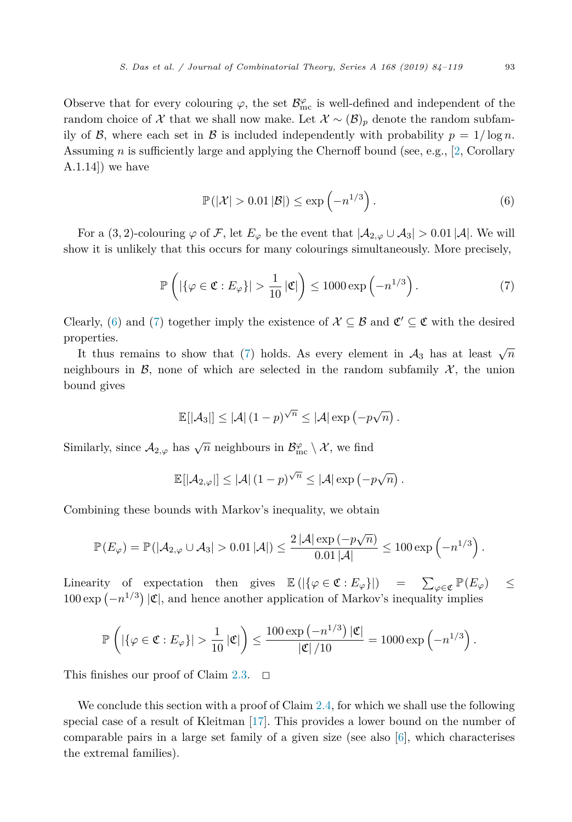Observe that for every colouring  $\varphi$ , the set  $\mathcal{B}^{\varphi}_{\text{mc}}$  is well-defined and independent of the random choice of X that we shall now make. Let  $\mathcal{X} \sim (\mathcal{B})_p$  denote the random subfamily of  $\mathcal{B}$ , where each set in  $\mathcal{B}$  is included independently with probability  $p = 1/\log n$ . Assuming *n* is sufficiently large and applying the Chernoff bound (see, e.g., [\[2,](#page-34-0) Corollary  $(A.1.14)$  we have

$$
\mathbb{P}(|\mathcal{X}| > 0.01 \, |\mathcal{B}|) \le \exp\left(-n^{1/3}\right). \tag{6}
$$

For a  $(3, 2)$ -colouring  $\varphi$  of F, let  $E_{\varphi}$  be the event that  $|A_{2,\varphi} \cup A_3| > 0.01 |\mathcal{A}|$ . We will show it is unlikely that this occurs for many colourings simultaneously. More precisely,

$$
\mathbb{P}\left(|\{\varphi \in \mathfrak{C} : E_{\varphi}\}| > \frac{1}{10} |\mathfrak{C}|\right) \le 1000 \exp\left(-n^{1/3}\right). \tag{7}
$$

Clearly, (6) and (7) together imply the existence of  $\mathcal{X} \subseteq \mathcal{B}$  and  $\mathfrak{C}' \subseteq \mathfrak{C}$  with the desired properties.

It thus remains to show that (7) holds. As every element in  $A_3$  has at least  $\sqrt{n}$ neighbours in  $\mathcal{B}$ , none of which are selected in the random subfamily  $\mathcal{X}$ , the union bound gives

$$
\mathbb{E}[|\mathcal{A}_3|] \leq |\mathcal{A}| (1-p)^{\sqrt{n}} \leq |\mathcal{A}| \exp(-p\sqrt{n}).
$$

Similarly, since  $\mathcal{A}_{2,\varphi}$  has  $\sqrt{n}$  neighbours in  $\mathcal{B}^{\varphi}_{\text{mc}} \setminus \mathcal{X}$ , we find

$$
\mathbb{E}[|\mathcal{A}_{2,\varphi}|] \leq |\mathcal{A}| (1-p)^{\sqrt{n}} \leq |\mathcal{A}| \exp(-p\sqrt{n}).
$$

Combining these bounds with Markov's inequality, we obtain

$$
\mathbb{P}(E_{\varphi})=\mathbb{P}(|\mathcal{A}_{2,\varphi}\cup \mathcal{A}_3|>0.01\,|\mathcal{A}|)\leq \frac{2\,|\mathcal{A}|\exp\left(-p\sqrt{n}\right)}{0.01\,|\mathcal{A}|}\leq 100\exp\left(-n^{1/3}\right).
$$

Linearity of expectation then gives  $\mathbb{E}(|\{\varphi \in \mathfrak{C} : E_{\varphi}\}|)$  =  $\sum_{\varphi \in \mathfrak{C}} \mathbb{P}(E_{\varphi}) \leq$  $100 \exp(-n^{1/3}) |\mathfrak{C}|$ , and hence another application of Markov's inequality implies

$$
\mathbb{P}\left(|\{\varphi \in \mathfrak{C}: E_{\varphi}\}| > \frac{1}{10} |\mathfrak{C}|\right) \leq \frac{100 \exp\left(-n^{1/3}\right)|\mathfrak{C}|}{|\mathfrak{C}|/10} = 1000 \exp\left(-n^{1/3}\right).
$$

This finishes our proof of Claim [2.3.](#page-6-0)  $\Box$ 

We conclude this section with a proof of Claim [2.4,](#page-7-0) for which we shall use the following special case of a result of Kleitman [\[17\]](#page-34-0). This provides a lower bound on the number of comparable pairs in a large set family of a given size (see also  $[6]$ , which characterises the extremal families).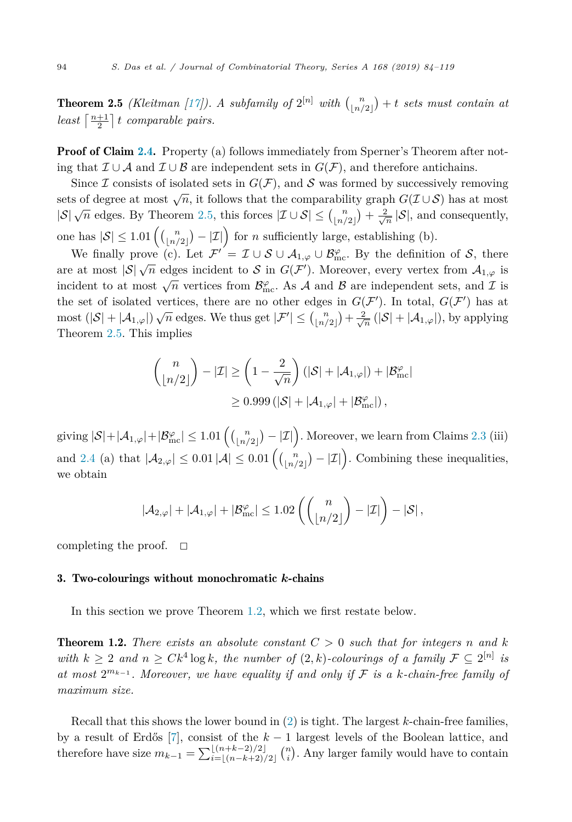<span id="page-10-0"></span>**Theorem 2.5** *(Kleitman [\[17\]](#page-34-0)). A subfamily of*  $2^{[n]}$  *with*  $\binom{n}{\lfloor n/2 \rfloor}$  $\binom{n}{\lfloor n/2 \rfloor}$  + *t sets* must contain at  $least \left\lceil \frac{n+1}{2} \right\rceil t$  *comparable pairs.* 

**Proof of Claim [2.4.](#page-7-0)** Property (a) follows immediately from Sperner's Theorem after noting that  $\mathcal{I}\cup\mathcal{A}$  and  $\mathcal{I}\cup\mathcal{B}$  are independent sets in  $G(\mathcal{F})$ , and therefore antichains.

Since I consists of isolated sets in  $G(\mathcal{F})$ , and S was formed by successively removing sets of degree at most  $\sqrt{n}$ , it follows that the comparability graph  $G(\mathcal{I}\cup\mathcal{S})$  has at most  $|\mathcal{S}| \sqrt{n}$  edges. By Theorem 2.5, this forces  $|\mathcal{I} \cup \mathcal{S}| \leq {n \choose \lfloor n/2 \rfloor} + \frac{2}{\sqrt{n}} |\mathcal{S}|$ , and consequently, one has  $|S| \leq 1.01 \left( {n \choose \lfloor n/2 \rfloor} - |\mathcal{I}| \right)$  for *n* sufficiently large  $\binom{n}{\lfloor n/2 \rfloor} - \lfloor \mathcal{I} \rfloor$  for *n* sufficiently large, establishing (b).

We finally prove (c). Let  $\mathcal{F}' = \mathcal{I} \cup \mathcal{S} \cup \mathcal{A}_{1,\varphi} \cup \mathcal{B}_{\text{mc}}^{\varphi}$ . By the definition of  $\mathcal{S}$ , there are at most  $|S|\sqrt{n}$  edges incident to S in  $G(\mathcal{F}')$ . Moreover, every vertex from  $\mathcal{A}_{1,\varphi}$  is incident to at most  $\sqrt{n}$  vertices from  $\mathcal{B}_{\text{mc}}^{\varphi}$ . As A and B are independent sets, and I is the set of isolated vertices, there are no other edges in  $G(\mathcal{F}')$ . In total,  $G(\mathcal{F}')$  has at most  $(|\mathcal{S}| + |\mathcal{A}_{1,\varphi}|) \sqrt{n}$  edges. We thus get  $|\mathcal{F}'| \leq {n \choose \lfloor n/2 \rfloor}$  $\binom{n}{\lfloor n/2 \rfloor} + \frac{2}{\sqrt{n}} \left( |\mathcal{S}| + |\mathcal{A}_{1,\varphi}| \right)$ , by applying Theorem 2.5. This implies

$$
\binom{n}{\lfloor n/2 \rfloor} - |\mathcal{I}| \ge \left(1 - \frac{2}{\sqrt{n}}\right) \left(|\mathcal{S}| + |\mathcal{A}_{1,\varphi}|\right) + |\mathcal{B}_{\text{mc}}^{\varphi}|
$$
  

$$
\ge 0.999 \left(|\mathcal{S}| + |\mathcal{A}_{1,\varphi}| + |\mathcal{B}_{\text{mc}}^{\varphi}|\right),
$$

giving  $|\mathcal{S}|+|\mathcal{A}_{1,\varphi}|+|\mathcal{B}^{\varphi}_{\mathrm{mc}}|\leq1.01\left(\binom{n}{\lfloor n/\varepsilon\rfloor},n/\varepsilon\right)$  $\binom{n}{\lfloor n/2 \rfloor} - |\mathcal{I}|$ . Moreover, we learn from Claims [2.3](#page-6-0) (iii) and [2.4](#page-7-0) (a) that  $|\mathcal{A}_{2,\varphi}| \leq 0.01 |\mathcal{A}| \leq 0.01 \left( \binom{n}{\lfloor n / \rfloor} \right)$  $\binom{n}{\lfloor n/2 \rfloor} - |\mathcal{I}|$ . Combining these inequalities, we obtain

$$
|\mathcal{A}_{2,\varphi}|+|\mathcal{A}_{1,\varphi}|+|\mathcal{B}^{\varphi}_{\mathrm{mc}}|\leq 1.02\left(\binom{n}{\lfloor n/2\rfloor}-|\mathcal{I}|\right)-|\mathcal{S}|,
$$

completing the proof.  $\Box$ 

#### 3. Two-colourings without monochromatic *k*-chains

In this section we prove Theorem [1.2,](#page-4-0) which we first restate below.

**Theorem 1.2.** There exists an absolute constant  $C > 0$  such that for integers n and k *with*  $k \geq 2$  *and*  $n \geq Ck^4 \log k$ *, the number of*  $(2, k)$ *-colourings of a family*  $\mathcal{F} \subseteq 2^{[n]}$  *is at most*  $2^{m_k-1}$ *. Moreover, we have equality if* and only *if*  $\mathcal F$  *is a k-chain-free family* of *maximum size.*

Recall that this shows the lower bound in [\(2\)](#page-3-0) is tight. The largest *k*-chain-free families, by a result of Erdős [\[7\]](#page-34-0), consist of the *k* − 1 largest levels of the Boolean lattice, and therefore have size  $m_{k-1} = \sum_{i=\lfloor (n-k+2)/2 \rfloor}^{\lfloor (n+k-2)/2 \rfloor}$  $\lim_{i=|(n-k+2)/2]}$   $\binom{n}{i}$ . Any larger family would have to contain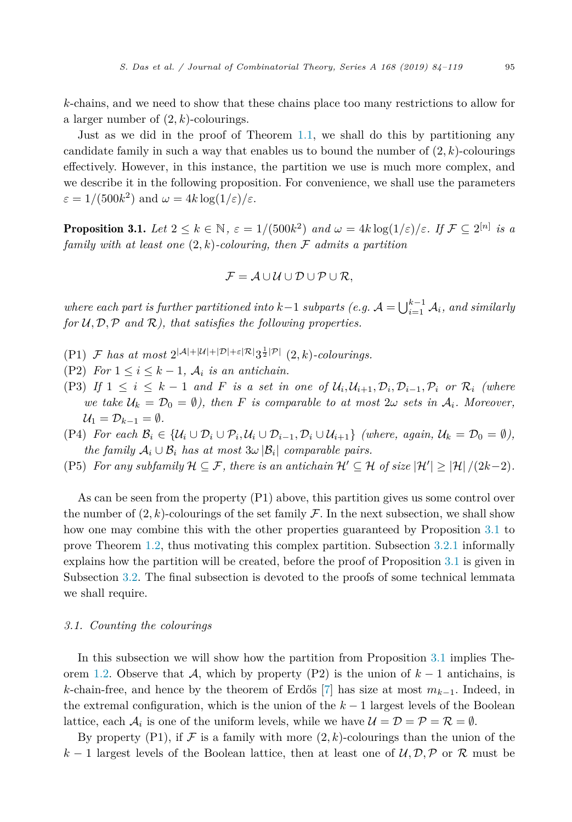<span id="page-11-0"></span>*k*-chains, and we need to show that these chains place too many restrictions to allow for a larger number of  $(2, k)$ -colourings.

Just as we did in the proof of Theorem [1.1,](#page-3-0) we shall do this by partitioning any candidate family in such a way that enables us to bound the number of  $(2, k)$ -colourings effectively. However, in this instance, the partition we use is much more complex, and we describe it in the following proposition. For convenience, we shall use the parameters  $\varepsilon = 1/(500k^2)$  and  $\omega = 4k \log(1/\varepsilon)/\varepsilon$ .

**Proposition 3.1.** *Let*  $2 \leq k \in \mathbb{N}$ ,  $\varepsilon = 1/(500k^2)$  *and*  $\omega = 4k \log(1/\varepsilon)/\varepsilon$ *. If*  $\mathcal{F} \subset 2^{[n]}$  *is a family with at least one* (2*, k*)*-colouring, then* F *admits a partition*

$$
\mathcal{F} = \mathcal{A} \cup \mathcal{U} \cup \mathcal{D} \cup \mathcal{P} \cup \mathcal{R},
$$

*where each part is further partitioned into*  $k-1$  *subparts*  $(e.g. A = \bigcup_{i=1}^{k-1} A_i$ *, and similarly for*  $U, D, P$  *and*  $R$ *), that satisfies the following properties.* 

- $(P1)$  *F* has at most  $2^{|A|+|U|+|D|+\epsilon|R}$  $|3^{\frac{1}{2}|P|}$   $(2,k)$ *-colourings.*
- (P2) *For*  $1 \leq i \leq k-1$ ,  $A_i$  *is an antichain.*
- (P3) If  $1 \leq i \leq k-1$  and F is a set in one of  $\mathcal{U}_i, \mathcal{U}_{i+1}, \mathcal{D}_i, \mathcal{D}_{i-1}, \mathcal{P}_i$  or  $\mathcal{R}_i$  (where *we take*  $U_k = \mathcal{D}_0 = \emptyset$ , *then F is comparable to at most* 2*ω sets in*  $A_i$ *. Moreover,*  $U_1 = \mathcal{D}_{k-1} = \emptyset.$
- $(P4)$  *For each*  $\mathcal{B}_i \in \{ \mathcal{U}_i \cup \mathcal{D}_i \cup \mathcal{P}_i, \mathcal{U}_i \cup \mathcal{D}_{i-1}, \mathcal{D}_i \cup \mathcal{U}_{i+1} \}$  *(where, again,*  $\mathcal{U}_k = \mathcal{D}_0 = \emptyset$ ), *the family*  $A_i \cup B_i$  *has at most*  $3\omega |B_i|$  *comparable pairs.*
- (P5) For any subfamily  $\mathcal{H} \subseteq \mathcal{F}$ , there is an antichain  $\mathcal{H}' \subseteq \mathcal{H}$  of size  $|\mathcal{H}'| \geq |\mathcal{H}|/(2k-2)$ .

As can be seen from the property (P1) above, this partition gives us some control over the number of  $(2, k)$ -colourings of the set family  $\mathcal F$ . In the next subsection, we shall show how one may combine this with the other properties guaranteed by Proposition 3.1 to prove Theorem [1.2,](#page-4-0) thus motivating this complex partition. Subsection [3.2.1](#page-15-0) informally explains how the partition will be created, before the proof of Proposition 3.1 is given in Subsection [3.2.](#page-15-0) The final subsection is devoted to the proofs of some technical lemmata we shall require.

### *3.1. Counting the colourings*

In this subsection we will show how the partition from Proposition 3.1 implies The-orem [1.2.](#page-4-0) Observe that  $A$ , which by property (P2) is the union of  $k-1$  antichains, is *k*-chain-free, and hence by the theorem of Erdős [\[7\]](#page-34-0) has size at most *m<sup>k</sup>*−<sup>1</sup>. Indeed, in the extremal configuration, which is the union of the *k* − 1 largest levels of the Boolean lattice, each  $\mathcal{A}_i$  is one of the uniform levels, while we have  $\mathcal{U} = \mathcal{D} = \mathcal{P} = \mathcal{R} = \emptyset$ .

By property (P1), if  $\mathcal F$  is a family with more  $(2, k)$ -colourings than the union of the  $k-1$  largest levels of the Boolean lattice, then at least one of  $U, \mathcal{D}, \mathcal{P}$  or  $\mathcal{R}$  must be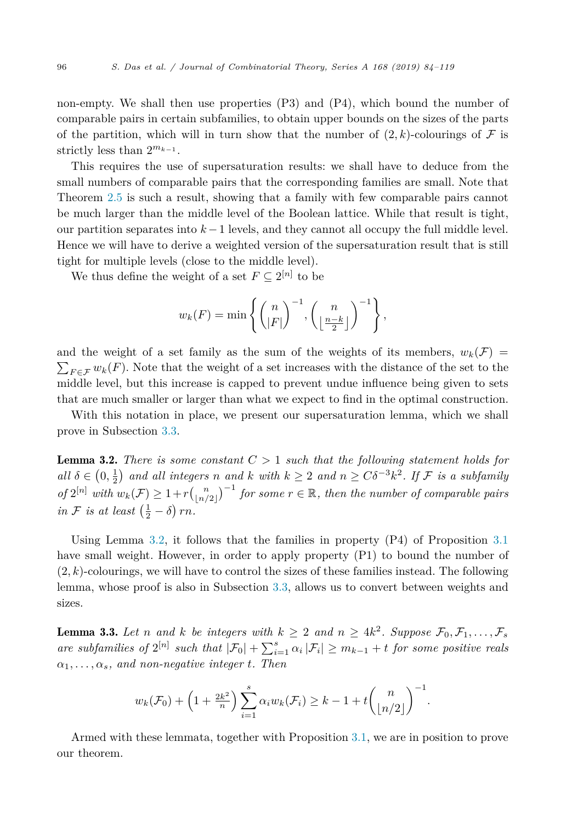<span id="page-12-0"></span>non-empty. We shall then use properties (P3) and (P4), which bound the number of comparable pairs in certain subfamilies, to obtain upper bounds on the sizes of the parts of the partition, which will in turn show that the number of  $(2, k)$ -colourings of F is strictly less than  $2^{m_{k-1}}$ .

This requires the use of supersaturation results: we shall have to deduce from the small numbers of comparable pairs that the corresponding families are small. Note that Theorem [2.5](#page-10-0) is such a result, showing that a family with few comparable pairs cannot be much larger than the middle level of the Boolean lattice. While that result is tight, our partition separates into  $k-1$  levels, and they cannot all occupy the full middle level. Hence we will have to derive a weighted version of the supersaturation result that is still tight for multiple levels (close to the middle level).

We thus define the weight of a set  $F \subseteq 2^{[n]}$  to be

$$
w_k(F) = \min\left\{ \binom{n}{|F|}^{-1}, \binom{n}{\lfloor \frac{n-k}{2} \rfloor}^{-1} \right\},\,
$$

and the weight of a set family as the sum of the weights of its members,  $w_k(\mathcal{F})$  =  $\sum_{F \in \mathcal{F}} w_k(F)$ . Note that the weight of a set increases with the distance of the set to the middle level, but this increase is capped to prevent undue influence being given to sets that are much smaller or larger than what we expect to find in the optimal construction.

With this notation in place, we present our supersaturation lemma, which we shall prove in Subsection [3.3.](#page-27-0)

**Lemma 3.2.** There is some constant  $C > 1$  such that the following statement holds for all  $\delta \in (0, \frac{1}{2})$  and all integers n and k with  $k \geq 2$  and  $n \geq C\delta^{-3}k^2$ . If F is a subfamily  $of 2^{[n]}$  *with*  $w_k(\mathcal{F}) \geq 1 + r {n \choose \lfloor n / 2 \rfloor}$  $\binom{n}{\lfloor n/2 \rfloor}^{-1}$  *for some*  $r \in \mathbb{R}$ *, then the number of comparable pairs*  $in \mathcal{F}$  *is at least*  $\left(\frac{1}{2} - \delta\right)rn$ .

Using Lemma 3.2, it follows that the families in property  $(P4)$  of Proposition [3.1](#page-11-0) have small weight. However, in order to apply property (P1) to bound the number of  $(2, k)$ -colourings, we will have to control the sizes of these families instead. The following lemma, whose proof is also in Subsection [3.3,](#page-27-0) allows us to convert between weights and sizes.

**Lemma 3.3.** Let *n* and *k* be integers with  $k \geq 2$  and  $n \geq 4k^2$ . Suppose  $\mathcal{F}_0, \mathcal{F}_1, \ldots, \mathcal{F}_s$ *are subfamilies* of  $2^{[n]}$  *such that*  $|\mathcal{F}_0| + \sum_{i=1}^s \alpha_i |\mathcal{F}_i| \ge m_{k-1} + t$  *for some positive reals*  $\alpha_1, \ldots, \alpha_s$ *, and non-negative integer t. Then* 

$$
w_k(\mathcal{F}_0) + \left(1 + \frac{2k^2}{n}\right) \sum_{i=1}^s \alpha_i w_k(\mathcal{F}_i) \geq k - 1 + t \binom{n}{\lfloor n/2 \rfloor}^{-1}.
$$

Armed with these lemmata, together with Proposition [3.1,](#page-11-0) we are in position to prove our theorem.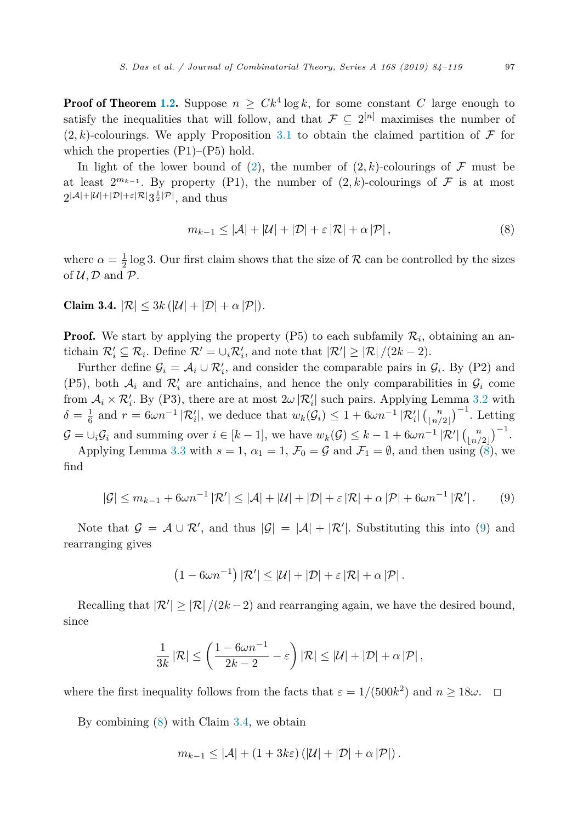<span id="page-13-0"></span>**Proof of Theorem [1.2.](#page-4-0)** Suppose  $n \geq Ck^4 \log k$ , for some constant *C* large enough to satisfy the inequalities that will follow, and that  $\mathcal{F} \subseteq 2^{[n]}$  maximises the number of  $(2, k)$ -colourings. We apply Proposition [3.1](#page-11-0) to obtain the claimed partition of  $\mathcal F$  for which the properties  $(P1)$ – $(P5)$  hold.

In light of the lower bound of [\(2\)](#page-3-0), the number of  $(2, k)$ -colourings of F must be at least  $2^{m_{k-1}}$ . By property (P1), the number of  $(2, k)$ -colourings of F is at most  $2^{|\mathcal{A}|+|\mathcal{U}|+|\mathcal{D}|+\varepsilon|\mathcal{R}|}3^{\frac{1}{2}|\mathcal{P}|},$  and thus

$$
m_{k-1} \le |\mathcal{A}| + |\mathcal{U}| + |\mathcal{D}| + \varepsilon |\mathcal{R}| + \alpha |\mathcal{P}|,
$$
\n<sup>(8)</sup>

where  $\alpha = \frac{1}{2} \log 3$ . Our first claim shows that the size of  $\mathcal{R}$  can be controlled by the sizes of  $U, D$  and  $P$ .

Claim 3.4.  $|\mathcal{R}| < 3k$  ( $|\mathcal{U}| + |\mathcal{D}| + \alpha |\mathcal{P}|$ ).

**Proof.** We start by applying the property (P5) to each subfamily  $\mathcal{R}_i$ , obtaining an antichain  $\mathcal{R}'_i \subseteq \mathcal{R}_i$ . Define  $\mathcal{R}' = \cup_i \mathcal{R}'_i$ , and note that  $|\mathcal{R}'| \geq |\mathcal{R}|/(2k-2)$ .

Further define  $G_i = A_i \cup \mathcal{R}'_i$ , and consider the comparable pairs in  $G_i$ . By (P2) and (P5), both  $A_i$  and  $R'_i$  are antichains, and hence the only comparabilities in  $\mathcal{G}_i$  come from  $A_i \times \mathcal{R}'_i$ . By (P3), there are at most  $2\omega |\mathcal{R}'_i|$  such pairs. Applying Lemma [3.2](#page-12-0) with  $\delta = \frac{1}{6}$  and  $r = 6\omega n^{-1} |\mathcal{R}'_i|$ , we deduce that  $w_k(\mathcal{G}_i) \leq 1 + 6\omega n^{-1} |\mathcal{R}'_i| \left(\frac{n}{|n\rangle}\right)$  $\binom{n}{\lfloor n/2 \rfloor}^{-1}$ . Letting  $\mathcal{G} = \cup_i \mathcal{G}_i$  and summing over  $i \in [k-1]$ , we have  $w_k(\mathcal{G}) \leq k-1 + 6\omega n^{-1} |\mathcal{R}'| \left( \frac{n}{\lfloor n \rfloor} \right)$  $\binom{n}{\lfloor n/2 \rfloor}^{-1}.$ 

Applying Lemma [3.3](#page-12-0) with  $s = 1$ ,  $\alpha_1 = 1$ ,  $\mathcal{F}_0 = \mathcal{G}$  and  $\mathcal{F}_1 = \emptyset$ , and then using (8), we find

$$
|\mathcal{G}| \leq m_{k-1} + 6\omega n^{-1} |\mathcal{R}'| \leq |\mathcal{A}| + |\mathcal{U}| + |\mathcal{D}| + \varepsilon |\mathcal{R}| + \alpha |\mathcal{P}| + 6\omega n^{-1} |\mathcal{R}'|.
$$
 (9)

Note that  $\mathcal{G} = \mathcal{A} \cup \mathcal{R}'$ , and thus  $|\mathcal{G}| = |\mathcal{A}| + |\mathcal{R}'|$ . Substituting this into (9) and rearranging gives

$$
(1 - 6\omega n^{-1}) |\mathcal{R}'| \leq |\mathcal{U}| + |\mathcal{D}| + \varepsilon |\mathcal{R}| + \alpha |\mathcal{P}|.
$$

Recalling that  $|\mathcal{R}'| \geq |\mathcal{R}|/(2k-2)$  and rearranging again, we have the desired bound, since

$$
\frac{1}{3k} \left| \mathcal{R} \right| \leq \left( \frac{1-6\omega n^{-1}}{2k-2} - \varepsilon \right) \left| \mathcal{R} \right| \leq \left| \mathcal{U} \right| + \left| \mathcal{D} \right| + \alpha \left| \mathcal{P} \right|,
$$

where the first inequality follows from the facts that  $\varepsilon = 1/(500k^2)$  and  $n \geq 18\omega$ .

By combining (8) with Claim 3.4, we obtain

$$
m_{k-1} \leq |\mathcal{A}| + (1 + 3k\varepsilon) (|\mathcal{U}| + |\mathcal{D}| + \alpha |\mathcal{P}|).
$$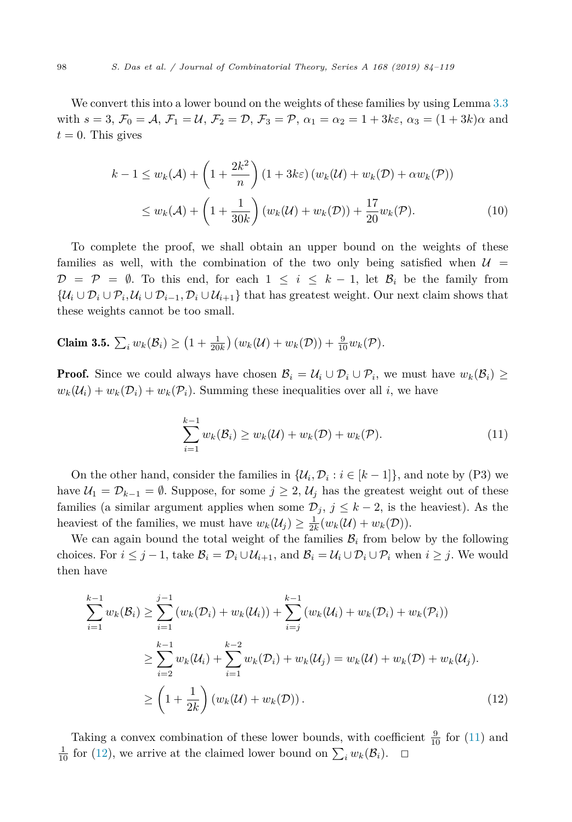<span id="page-14-0"></span>We convert this into a lower bound on the weights of these families by using Lemma [3.3](#page-12-0) with  $s = 3$ ,  $\mathcal{F}_0 = \mathcal{A}$ ,  $\mathcal{F}_1 = \mathcal{U}$ ,  $\mathcal{F}_2 = \mathcal{D}$ ,  $\mathcal{F}_3 = \mathcal{P}$ ,  $\alpha_1 = \alpha_2 = 1 + 3k\varepsilon$ ,  $\alpha_3 = (1 + 3k)\alpha$  and  $t = 0$ . This gives

$$
k - 1 \le w_k(\mathcal{A}) + \left(1 + \frac{2k^2}{n}\right)(1 + 3k\varepsilon) \left(w_k(\mathcal{U}) + w_k(\mathcal{D}) + \alpha w_k(\mathcal{P})\right)
$$
  

$$
\le w_k(\mathcal{A}) + \left(1 + \frac{1}{30k}\right)\left(w_k(\mathcal{U}) + w_k(\mathcal{D})\right) + \frac{17}{20}w_k(\mathcal{P}).
$$
 (10)

To complete the proof, we shall obtain an upper bound on the weights of these families as well, with the combination of the two only being satisfied when  $\mathcal{U} =$  $\mathcal{D} = \mathcal{P} = \emptyset$ . To this end, for each  $1 \leq i \leq k-1$ , let  $\mathcal{B}_i$  be the family from  $\{\mathcal{U}_i \cup \mathcal{D}_i \cup \mathcal{P}_i, \mathcal{U}_i \cup \mathcal{D}_{i-1}, \mathcal{D}_i \cup \mathcal{U}_{i+1}\}\$  that has greatest weight. Our next claim shows that these weights cannot be too small.

**Claim 3.5.**  $\sum_{i} w_k(\mathcal{B}_i) \ge (1 + \frac{1}{20k})(w_k(\mathcal{U}) + w_k(\mathcal{D})) + \frac{9}{10}w_k(\mathcal{P})$ .

**Proof.** Since we could always have chosen  $B_i = U_i \cup \mathcal{D}_i \cup \mathcal{P}_i$ , we must have  $w_k(\mathcal{B}_i) \geq$  $w_k(\mathcal{U}_i) + w_k(\mathcal{D}_i) + w_k(\mathcal{P}_i)$ . Summing these inequalities over all *i*, we have

$$
\sum_{i=1}^{k-1} w_k(\mathcal{B}_i) \ge w_k(\mathcal{U}) + w_k(\mathcal{D}) + w_k(\mathcal{P}). \tag{11}
$$

On the other hand, consider the families in  $\{U_i, \mathcal{D}_i : i \in [k-1]\}$ , and note by (P3) we have  $U_1 = \mathcal{D}_{k-1} = \emptyset$ . Suppose, for some  $j \geq 2$ ,  $U_j$  has the greatest weight out of these families (a similar argument applies when some  $\mathcal{D}_j$ ,  $j \leq k-2$ , is the heaviest). As the heaviest of the families, we must have  $w_k(\mathcal{U}_j) \geq \frac{1}{2k}(w_k(\mathcal{U}) + w_k(\mathcal{D})).$ 

We can again bound the total weight of the families  $B_i$  from below by the following choices. For  $i \leq j - 1$ , take  $\mathcal{B}_i = \mathcal{D}_i \cup \mathcal{U}_{i+1}$ , and  $\mathcal{B}_i = \mathcal{U}_i \cup \mathcal{D}_i \cup \mathcal{P}_i$  when  $i \geq j$ . We would then have

$$
\sum_{i=1}^{k-1} w_k(\mathcal{B}_i) \ge \sum_{i=1}^{j-1} (w_k(\mathcal{D}_i) + w_k(\mathcal{U}_i)) + \sum_{i=j}^{k-1} (w_k(\mathcal{U}_i) + w_k(\mathcal{D}_i) + w_k(\mathcal{P}_i))
$$
  

$$
\ge \sum_{i=2}^{k-1} w_k(\mathcal{U}_i) + \sum_{i=1}^{k-2} w_k(\mathcal{D}_i) + w_k(\mathcal{U}_j) = w_k(\mathcal{U}) + w_k(\mathcal{D}) + w_k(\mathcal{U}_j).
$$
  

$$
\ge \left(1 + \frac{1}{2k}\right) (w_k(\mathcal{U}) + w_k(\mathcal{D})). \tag{12}
$$

Taking a convex combination of these lower bounds, with coefficient  $\frac{9}{10}$  for (11) and  $\frac{1}{10}$  for (12), we arrive at the claimed lower bound on  $\sum_i w_k(\mathcal{B}_i)$ .  $\Box$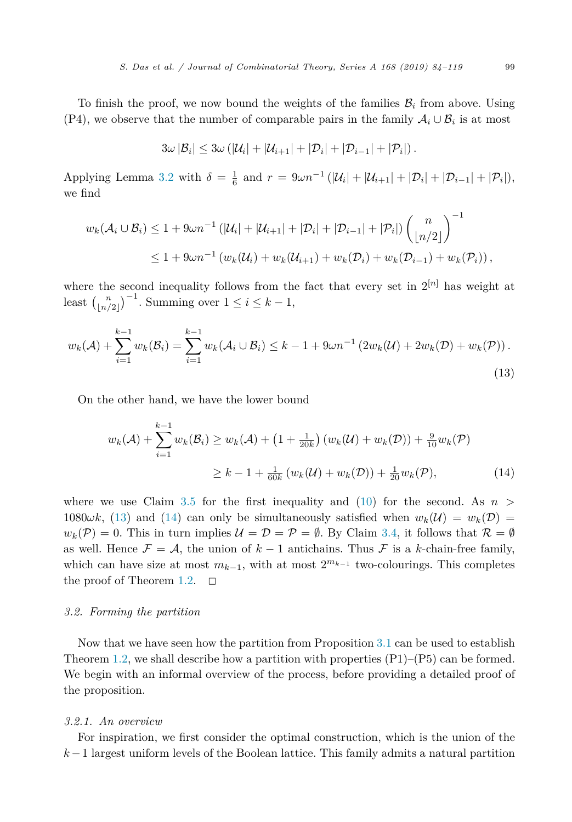<span id="page-15-0"></span>To finish the proof, we now bound the weights of the families  $\mathcal{B}_i$  from above. Using (P4), we observe that the number of comparable pairs in the family  $A_i \cup B_i$  is at most

$$
3\omega |\mathcal{B}_i| \leq 3\omega \left(|\mathcal{U}_i| + |\mathcal{U}_{i+1}| + |\mathcal{D}_i| + |\mathcal{D}_{i-1}| + |\mathcal{P}_i|\right).
$$

Applying Lemma [3.2](#page-12-0) with  $\delta = \frac{1}{6}$  and  $r = 9\omega n^{-1} (|\mathcal{U}_i| + |\mathcal{U}_{i+1}| + |\mathcal{D}_i| + |\mathcal{D}_{i-1}| + |\mathcal{P}_i|),$ we find

$$
w_k(\mathcal{A}_i \cup \mathcal{B}_i) \le 1 + 9\omega n^{-1} (|\mathcal{U}_i| + |\mathcal{U}_{i+1}| + |\mathcal{D}_i| + |\mathcal{D}_{i-1}| + |\mathcal{P}_i|) \binom{n}{\lfloor n/2 \rfloor}^{-1}
$$
  

$$
\le 1 + 9\omega n^{-1} (w_k(\mathcal{U}_i) + w_k(\mathcal{U}_{i+1}) + w_k(\mathcal{D}_i) + w_k(\mathcal{D}_{i-1}) + w_k(\mathcal{P}_i)),
$$

where the second inequality follows from the fact that every set in  $2^{[n]}$  has weight at least  $\binom{n}{n}$  $\binom{n}{\lfloor n/2 \rfloor}^{-1}$ . Summing over  $1 \leq i \leq k-1$ ,

$$
w_k(\mathcal{A}) + \sum_{i=1}^{k-1} w_k(\mathcal{B}_i) = \sum_{i=1}^{k-1} w_k(\mathcal{A}_i \cup \mathcal{B}_i) \le k - 1 + 9\omega n^{-1} \left(2w_k(\mathcal{U}) + 2w_k(\mathcal{D}) + w_k(\mathcal{P})\right).
$$
\n(13)

On the other hand, we have the lower bound

$$
w_k(\mathcal{A}) + \sum_{i=1}^{k-1} w_k(\mathcal{B}_i) \ge w_k(\mathcal{A}) + \left(1 + \frac{1}{20k}\right) \left(w_k(\mathcal{U}) + w_k(\mathcal{D})\right) + \frac{9}{10} w_k(\mathcal{P})
$$
  

$$
\ge k - 1 + \frac{1}{60k} \left(w_k(\mathcal{U}) + w_k(\mathcal{D})\right) + \frac{1}{20} w_k(\mathcal{P}), \tag{14}
$$

where we use Claim [3.5](#page-14-0) for the first inequality and  $(10)$  for the second. As  $n >$ 1080 $\omega k$ , (13) and (14) can only be simultaneously satisfied when  $w_k(\mathcal{U}) = w_k(\mathcal{D}) =$  $w_k(\mathcal{P}) = 0$ . This in turn implies  $\mathcal{U} = \mathcal{D} = \mathcal{P} = \emptyset$ . By Claim [3.4,](#page-13-0) it follows that  $\mathcal{R} = \emptyset$ as well. Hence  $\mathcal{F} = \mathcal{A}$ , the union of  $k-1$  antichains. Thus  $\mathcal{F}$  is a *k*-chain-free family, which can have size at most  $m_{k-1}$ , with at most  $2^{m_{k-1}}$  two-colourings. This completes the proof of Theorem 1.2. the proof of Theorem  $1.2$ .

#### *3.2. Forming the partition*

Now that we have seen how the partition from Proposition [3.1](#page-11-0) can be used to establish Theorem [1.2,](#page-4-0) we shall describe how a partition with properties  $(P1)$ – $(P5)$  can be formed. We begin with an informal overview of the process, before providing a detailed proof of the proposition.

# *3.2.1. An overview*

For inspiration, we first consider the optimal construction, which is the union of the *k*−1 largest uniform levels of the Boolean lattice. This family admits a natural partition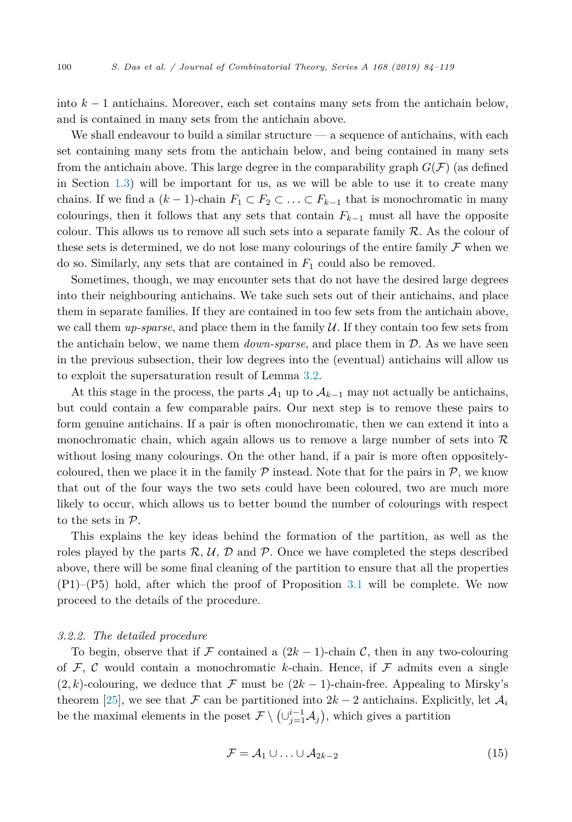<span id="page-16-0"></span>into *k* − 1 antichains. Moreover, each set contains many sets from the antichain below, and is contained in many sets from the antichain above.

We shall endeavour to build a similar structure  $-$  a sequence of antichains, with each set containing many sets from the antichain below, and being contained in many sets from the antichain above. This large degree in the comparability graph  $G(\mathcal{F})$  (as defined in Section [1.3\)](#page-4-0) will be important for us, as we will be able to use it to create many chains. If we find a  $(k-1)$ -chain  $F_1 \subset F_2 \subset \ldots \subset F_{k-1}$  that is monochromatic in many colourings, then it follows that any sets that contain  $F_{k-1}$  must all have the opposite colour. This allows us to remove all such sets into a separate family  $R$ . As the colour of these sets is determined, we do not lose many colourings of the entire family  $\mathcal F$  when we do so. Similarly, any sets that are contained in *F*<sup>1</sup> could also be removed.

Sometimes, though, we may encounter sets that do not have the desired large degrees into their neighbouring antichains. We take such sets out of their antichains, and place them in separate families. If they are contained in too few sets from the antichain above, we call them  $up\text{-}sparse$ , and place them in the family  $\mathcal U$ . If they contain too few sets from the antichain below, we name them *down-sparse*, and place them in D. As we have seen in the previous subsection, their low degrees into the (eventual) antichains will allow us to exploit the supersaturation result of Lemma [3.2.](#page-12-0)

At this stage in the process, the parts  $\mathcal{A}_1$  up to  $\mathcal{A}_{k-1}$  may not actually be antichains, but could contain a few comparable pairs. Our next step is to remove these pairs to form genuine antichains. If a pair is often monochromatic, then we can extend it into a monochromatic chain, which again allows us to remove a large number of sets into  $\mathcal{R}$ without losing many colourings. On the other hand, if a pair is more often oppositelycoloured, then we place it in the family  $P$  instead. Note that for the pairs in  $P$ , we know that out of the four ways the two sets could have been coloured, two are much more likely to occur, which allows us to better bound the number of colourings with respect to the sets in P.

This explains the key ideas behind the formation of the partition, as well as the roles played by the parts  $\mathcal{R}, \mathcal{U}, \mathcal{D}$  and  $\mathcal{P}$ . Once we have completed the steps described above, there will be some final cleaning of the partition to ensure that all the properties (P1)–(P5) hold, after which the proof of Proposition [3.1](#page-11-0) will be complete. We now proceed to the details of the procedure.

### *3.2.2. The detailed procedure*

To begin, observe that if F contained a  $(2k-1)$ -chain C, then in any two-colouring of  $\mathcal{F}, \mathcal{C}$  would contain a monochromatic *k*-chain. Hence, if  $\mathcal{F}$  admits even a single  $(2, k)$ -colouring, we deduce that F must be  $(2k - 1)$ -chain-free. Appealing to Mirsky's theorem [\[25\]](#page-35-0), we see that F can be partitioned into  $2k-2$  antichains. Explicitly, let  $\mathcal{A}_i$ be the maximal elements in the poset  $\mathcal{F} \setminus (\cup_{j=1}^{i-1} A_j)$ , which gives a partition

$$
\mathcal{F} = \mathcal{A}_1 \cup \ldots \cup \mathcal{A}_{2k-2} \tag{15}
$$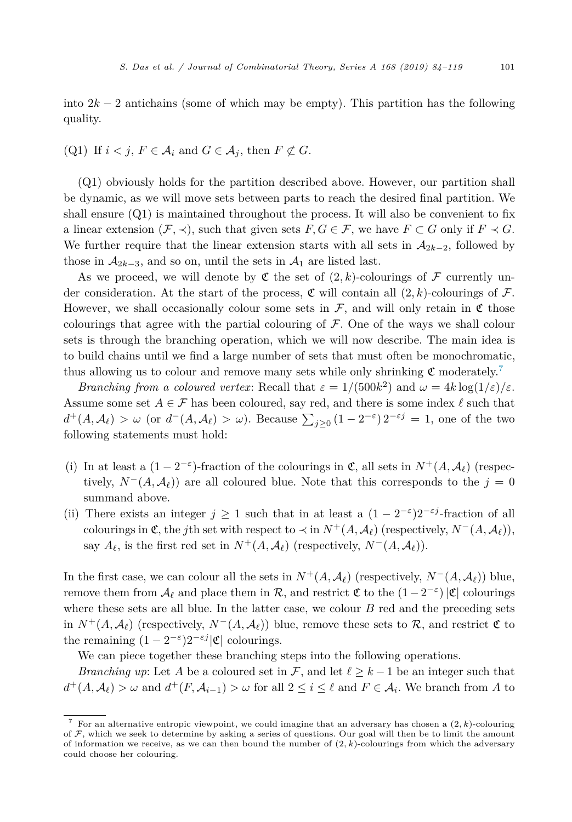into  $2k - 2$  antichains (some of which may be empty). This partition has the following quality.

(Q1) If  $i < j$ ,  $F \in \mathcal{A}_i$  and  $G \in \mathcal{A}_j$ , then  $F \not\subset G$ .

(Q1) obviously holds for the partition described above. However, our partition shall be dynamic, as we will move sets between parts to reach the desired final partition. We shall ensure (Q1) is maintained throughout the process. It will also be convenient to fix a linear extension  $(F, \prec)$ , such that given sets  $F, G \in \mathcal{F}$ , we have  $F \subset G$  only if  $F \prec G$ . We further require that the linear extension starts with all sets in  $A_{2k-2}$ , followed by those in  $A_{2k-3}$ , and so on, until the sets in  $A_1$  are listed last.

As we proceed, we will denote by  $\mathfrak C$  the set of  $(2,k)$ -colourings of  $\mathcal F$  currently under consideration. At the start of the process,  $\mathfrak{C}$  will contain all  $(2, k)$ -colourings of  $\mathcal{F}$ . However, we shall occasionally colour some sets in  $\mathcal{F}$ , and will only retain in  $\mathfrak{C}$  those colourings that agree with the partial colouring of  $F$ . One of the ways we shall colour sets is through the branching operation, which we will now describe. The main idea is to build chains until we find a large number of sets that must often be monochromatic, thus allowing us to colour and remove many sets while only shrinking  $\mathfrak C$  moderately.<sup>7</sup>

*Branching from a coloured vertex:* Recall that  $\varepsilon = 1/(500k^2)$  and  $\omega = 4k \log(1/\varepsilon)/\varepsilon$ . Assume some set  $A \in \mathcal{F}$  has been coloured, say red, and there is some index  $\ell$  such that  $d^+(A, A_\ell) > \omega$  (or  $d^-(A, A_\ell) > \omega$ ). Because  $\sum_{j\geq 0} (1 - 2^{-\varepsilon}) 2^{-\varepsilon j} = 1$ , one of the two following statements must hold:

- (i) In at least a  $(1-2^{-\epsilon})$ -fraction of the colourings in  $\mathfrak{C}$ , all sets in  $N^+(A,\mathcal{A}_{\ell})$  (respectively,  $N^{-}(A, A_{\ell})$  are all coloured blue. Note that this corresponds to the  $j = 0$ summand above.
- (ii) There exists an integer  $j \geq 1$  such that in at least a  $(1 2^{-\epsilon})2^{-\epsilon j}$ -fraction of all colourings in  $\mathfrak{C}$ , the *j*th set with respect to  $\prec$  in  $N^+(A, \mathcal{A}_{\ell})$  (respectively,  $N^-(A, \mathcal{A}_{\ell})$ ), say  $A_{\ell}$ , is the first red set in  $N^{+}(A, \mathcal{A}_{\ell})$  (respectively,  $N^{-}(A, \mathcal{A}_{\ell})$ ).

In the first case, we can colour all the sets in  $N^+(A, A_\ell)$  (respectively,  $N^-(A, A_\ell)$ ) blue, remove them from  $\mathcal{A}_{\ell}$  and place them in  $\mathcal{R}$ , and restrict  $\mathfrak{C}$  to the  $(1-2^{-\epsilon})|\mathfrak{C}|$  colourings where these sets are all blue. In the latter case, we colour *B* red and the preceding sets in  $N^+(A, \mathcal{A}_\ell)$  (respectively,  $N^-(A, \mathcal{A}_\ell)$ ) blue, remove these sets to  $\mathcal{R}$ , and restrict  $\mathfrak C$  to the remaining  $(1 - 2^{-\epsilon})2^{-\epsilon j} |\mathfrak{C}|$  colourings.

We can piece together these branching steps into the following operations.

*Branching up*: Let *A* be a coloured set in  $\mathcal{F}$ , and let  $\ell \geq k - 1$  be an integer such that  $d^+(A, A_\ell) > \omega$  and  $d^+(F, A_{i-1}) > \omega$  for all  $2 \leq i \leq \ell$  and  $F \in A_i$ . We branch from A to

<sup>&</sup>lt;sup>7</sup> For an alternative entropic viewpoint, we could imagine that an adversary has chosen a  $(2, k)$ -colouring of  $F$ , which we seek to determine by asking a series of questions. Our goal will then be to limit the amount of information we receive, as we can then bound the number of  $(2, k)$ -colourings from which the adversary could choose her colouring.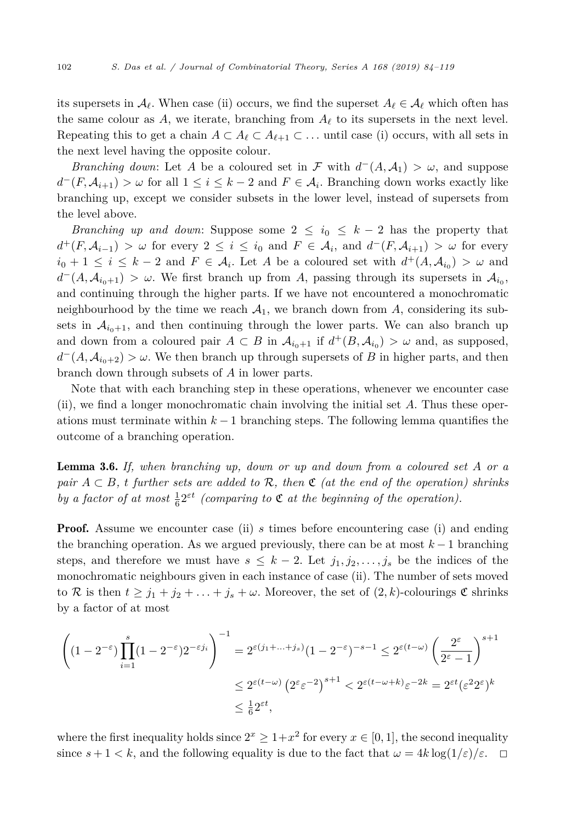<span id="page-18-0"></span>its supersets in  $\mathcal{A}_{\ell}$ . When case (ii) occurs, we find the superset  $A_{\ell} \in \mathcal{A}_{\ell}$  which often has the same colour as  $A$ , we iterate, branching from  $A_{\ell}$  to its supersets in the next level. Repeating this to get a chain  $A \subset A_{\ell} \subset A_{\ell+1} \subset \ldots$  until case (i) occurs, with all sets in the next level having the opposite colour.

*Branching down*: Let *A* be a coloured set in F with  $d^-(A, A_1) > \omega$ , and suppose *d*<sup>−</sup>(*F*,  $A$ <sub>*i*+1</sub>) >  $\omega$  for all 1 ≤ *i* ≤ *k* − 2 and *F* ∈  $A$ <sub>*i*</sub>. Branching down works exactly like branching up, except we consider subsets in the lower level, instead of supersets from the level above.

*Branching up and down*: Suppose some  $2 \leq i_0 \leq k - 2$  has the property that  $d^+(F, A_{i-1}) > ω$  for every  $2 ≤ i ≤ i<sub>0</sub>$  and  $F ∈ A_i$ , and  $d^-(F, A_{i+1}) > ω$  for every  $i_0 + 1 \leq i \leq k - 2$  and  $F \in \mathcal{A}_i$ . Let *A* be a coloured set with  $d^+(A, \mathcal{A}_{i_0}) > \omega$  and  $d^-(A, A_{i_0+1}) > \omega$ . We first branch up from A, passing through its supersets in  $A_{i_0}$ , and continuing through the higher parts. If we have not encountered a monochromatic neighbourhood by the time we reach  $A_1$ , we branch down from A, considering its subsets in  $A_{i_0+1}$ , and then continuing through the lower parts. We can also branch up and down from a coloured pair  $A \subset B$  in  $\mathcal{A}_{i_0+1}$  if  $d^+(B, \mathcal{A}_{i_0}) > \omega$  and, as supposed,  $d^-(A, \mathcal{A}_{i_0+2}) > \omega$ . We then branch up through supersets of *B* in higher parts, and then branch down through subsets of *A* in lower parts.

Note that with each branching step in these operations, whenever we encounter case (ii), we find a longer monochromatic chain involving the initial set *A*. Thus these operations must terminate within *k* − 1 branching steps. The following lemma quantifies the outcome of a branching operation.

Lemma 3.6. *If, when branching up, down or up and down from a coloured set A or a*  $pair \ A \subset B$ , *t further* sets are added to R, then  $\mathfrak{C}$  *(at the end of the operation) shrinks by a factor of at most*  $\frac{1}{6}2^{\varepsilon t}$  (*comparing to*  $\mathfrak{C}$  *at the beginning of the operation*).

**Proof.** Assume we encounter case (ii) *s* times before encountering case (i) and ending the branching operation. As we argued previously, there can be at most *k* − 1 branching steps, and therefore we must have  $s \leq k - 2$ . Let  $j_1, j_2, \ldots, j_s$  be the indices of the monochromatic neighbours given in each instance of case (ii). The number of sets moved to R is then  $t \geq j_1 + j_2 + \ldots + j_s + \omega$ . Moreover, the set of  $(2, k)$ -colourings C shrinks by a factor of at most

$$
\left( (1 - 2^{-\varepsilon}) \prod_{i=1}^{s} (1 - 2^{-\varepsilon}) 2^{-\varepsilon j_i} \right)^{-1} = 2^{\varepsilon (j_1 + \dots + j_s)} (1 - 2^{-\varepsilon})^{-s-1} \le 2^{\varepsilon (t-\omega)} \left( \frac{2^{\varepsilon}}{2^{\varepsilon} - 1} \right)^{s+1}
$$
  

$$
\le 2^{\varepsilon (t-\omega)} \left( 2^{\varepsilon} \varepsilon^{-2} \right)^{s+1} < 2^{\varepsilon (t-\omega+k)} \varepsilon^{-2k} = 2^{\varepsilon t} (\varepsilon^2 2^{\varepsilon})^k
$$
  

$$
\le \frac{1}{6} 2^{\varepsilon t},
$$

where the first inequality holds since  $2^x \ge 1+x^2$  for every  $x \in [0,1]$ , the second inequality since  $s + 1 < k$ , and the following equality is due to the fact that  $\omega = 4k \log(1/\varepsilon)/\varepsilon$ .  $\Box$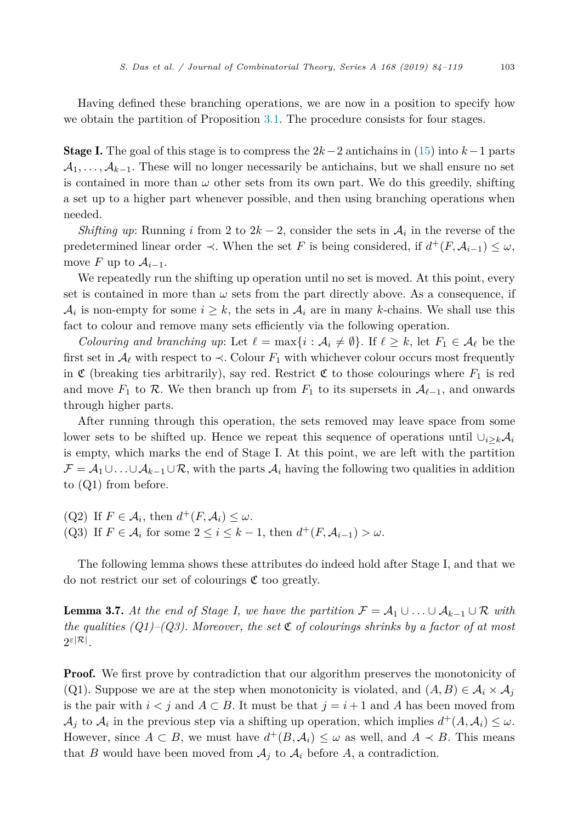<span id="page-19-0"></span>Having defined these branching operations, we are now in a position to specify how we obtain the partition of Proposition [3.1.](#page-11-0) The procedure consists for four stages.

Stage I. The goal of this stage is to compress the 2*k*−2 antichains in [\(15\)](#page-16-0) into *k*−1 parts  $A_1, \ldots, A_{k-1}$ . These will no longer necessarily be antichains, but we shall ensure no set is contained in more than  $\omega$  other sets from its own part. We do this greedily, shifting a set up to a higher part whenever possible, and then using branching operations when needed.

*Shifting up*: Running *i* from 2 to  $2k - 2$ , consider the sets in  $\mathcal{A}_i$  in the reverse of the predetermined linear order  $\prec$ . When the set *F* is being considered, if  $d^+(F, \mathcal{A}_{i-1}) \leq \omega$ , move *F* up to  $A_{i-1}$ .

We repeatedly run the shifting up operation until no set is moved. At this point, every set is contained in more than  $\omega$  sets from the part directly above. As a consequence, if  $A_i$  is non-empty for some  $i \geq k$ , the sets in  $A_i$  are in many *k*-chains. We shall use this fact to colour and remove many sets efficiently via the following operation.

*Colouring* and *branching* up: Let  $\ell = \max\{i : A_i \neq \emptyset\}$ . If  $\ell \geq k$ , let  $F_1 \in A_\ell$  be the first set in  $\mathcal{A}_{\ell}$  with respect to  $\prec$ . Colour  $F_1$  with whichever colour occurs most frequently in C (breaking ties arbitrarily), say red. Restrict C to those colourings where  $F_1$  is red and move  $F_1$  to  $\mathcal R$ . We then branch up from  $F_1$  to its supersets in  $\mathcal A_{\ell-1}$ , and onwards through higher parts.

After running through this operation, the sets removed may leave space from some lower sets to be shifted up. Hence we repeat this sequence of operations until ∪*<sup>i</sup>*≥*<sup>k</sup>*A*<sup>i</sup>* is empty, which marks the end of Stage I. At this point, we are left with the partition  $\mathcal{F} = \mathcal{A}_1 \cup \ldots \cup \mathcal{A}_{k-1} \cup \mathcal{R}$ , with the parts  $\mathcal{A}_i$  having the following two qualities in addition to (Q1) from before.

(Q2) If  $F \in \mathcal{A}_i$ , then  $d^+(F, \mathcal{A}_i) \leq \omega$ . (Q3) If  $F \in \mathcal{A}_i$  for some  $2 \le i \le k - 1$ , then  $d^+(F, \mathcal{A}_{i-1}) > \omega$ .

The following lemma shows these attributes do indeed hold after Stage I, and that we do not restrict our set of colourings  $\mathfrak C$  too greatly.

**Lemma 3.7.** At the end of Stage I, we have the partition  $\mathcal{F} = \mathcal{A}_1 \cup \ldots \cup \mathcal{A}_{k-1} \cup \mathcal{R}$  with *the qualities*  $(Q1)–(Q3)$ *. Moreover, the set*  $\mathfrak C$  *of colourings shrinks by a factor of at most*  $2^{\varepsilon|\mathcal{R}|}$ .

**Proof.** We first prove by contradiction that our algorithm preserves the monotonicity of (Q1). Suppose we are at the step when monotonicity is violated, and  $(A, B) \in \mathcal{A}_i \times \mathcal{A}_j$ is the pair with  $i < j$  and  $A \subset B$ . It must be that  $j = i + 1$  and  $A$  has been moved from  $\mathcal{A}_i$  to  $\mathcal{A}_i$  in the previous step via a shifting up operation, which implies  $d^+(A, \mathcal{A}_i) \leq \omega$ . However, since  $A \subset B$ , we must have  $d^+(B, \mathcal{A}_i) \leq \omega$  as well, and  $A \prec B$ . This means that *B* would have been moved from  $A_j$  to  $A_i$  before A, a contradiction.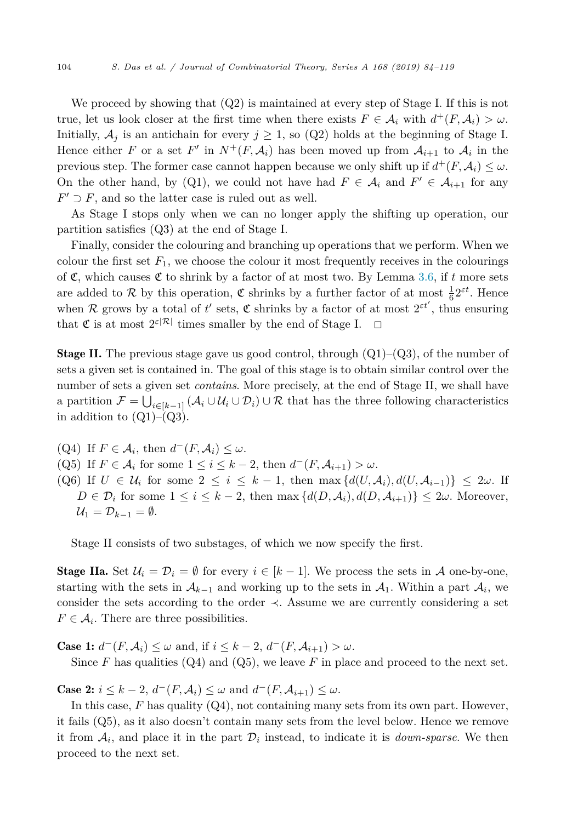We proceed by showing that  $(Q2)$  is maintained at every step of Stage I. If this is not true, let us look closer at the first time when there exists  $F \in \mathcal{A}_i$  with  $d^+(F, \mathcal{A}_i) > \omega$ . Initially,  $A_j$  is an antichain for every  $j \geq 1$ , so (Q2) holds at the beginning of Stage I. Hence either *F* or a set *F'* in  $N^+(F, \mathcal{A}_i)$  has been moved up from  $\mathcal{A}_{i+1}$  to  $\mathcal{A}_i$  in the previous step. The former case cannot happen because we only shift up if  $d^+(F, \mathcal{A}_i) \leq \omega$ . On the other hand, by (Q1), we could not have had  $F \in \mathcal{A}_i$  and  $F' \in \mathcal{A}_{i+1}$  for any  $F' \supset F$ , and so the latter case is ruled out as well.

As Stage I stops only when we can no longer apply the shifting up operation, our partition satisfies (Q3) at the end of Stage I.

Finally, consider the colouring and branching up operations that we perform. When we colour the first set  $F_1$ , we choose the colour it most frequently receives in the colourings of  $\mathfrak{C}$ , which causes  $\mathfrak{C}$  to shrink by a factor of at most two. By Lemma [3.6,](#page-18-0) if t more sets are added to  $\mathcal R$  by this operation,  $\mathfrak C$  shrinks by a further factor of at most  $\frac{1}{6} 2^{\varepsilon t}$ . Hence when R grows by a total of  $t'$  sets,  $\mathfrak C$  shrinks by a factor of at most  $2^{\varepsilon t'}$ , thus ensuring that  $\mathfrak C$  is at most  $2^{\varepsilon |\mathcal R|}$  times smaller by the end of Stage I.  $\Box$ 

**Stage II.** The previous stage gave us good control, through  $(Q1)-(Q3)$ , of the number of sets a given set is contained in. The goal of this stage is to obtain similar control over the number of sets a given set *contains*. More precisely, at the end of Stage II, we shall have a partition  $\mathcal{F} = \bigcup_{i \in [k-1]} (\mathcal{A}_i \cup \mathcal{U}_i \cup \mathcal{D}_i) \cup \mathcal{R}$  that has the three following characteristics in addition to  $(Q1)$ – $(Q3)$ .

 $(Q4)$  If  $F \in \mathcal{A}_i$ , then  $d^-(F, \mathcal{A}_i) \leq \omega$ . (Q5) If  $F \in \mathcal{A}_i$  for some  $1 \leq i \leq k-2$ , then  $d^-(F, \mathcal{A}_{i+1}) > \omega$ .  $(Q6)$  If  $U \in \mathcal{U}_i$  for some  $2 \leq i \leq k-1$ , then max  $\{d(U, \mathcal{A}_i), d(U, \mathcal{A}_{i-1})\} \leq 2\omega$ . If  $D \in \mathcal{D}_i$  for some  $1 \leq i \leq k-2$ , then max  $\{d(D, \mathcal{A}_i), d(D, \mathcal{A}_{i+1})\} \leq 2\omega$ . Moreover,  $U_1 = \mathcal{D}_{k-1} = \emptyset.$ 

Stage II consists of two substages, of which we now specify the first.

**Stage IIa.** Set  $\mathcal{U}_i = \mathcal{D}_i = \emptyset$  for every  $i \in [k-1]$ . We process the sets in A one-by-one, starting with the sets in  $A_{k-1}$  and working up to the sets in  $A_1$ . Within a part  $A_i$ , we consider the sets according to the order ≺. Assume we are currently considering a set  $F \in \mathcal{A}_i$ . There are three possibilities.

**Case 1:**  $d^-(F, A_i) \leq \omega$  and, if  $i \leq k-2$ ,  $d^-(F, A_{i+1}) > \omega$ . Since  $F$  has qualities  $(Q_4)$  and  $(Q_5)$ , we leave  $F$  in place and proceed to the next set.

**Case 2:**  $i \leq k - 2$ ,  $d^-(F, \mathcal{A}_i) \leq \omega$  and  $d^-(F, \mathcal{A}_{i+1}) \leq \omega$ .

In this case,  $F$  has quality  $(Q_4)$ , not containing many sets from its own part. However, it fails (Q5), as it also doesn't contain many sets from the level below. Hence we remove it from  $A_i$ , and place it in the part  $D_i$  instead, to indicate it is *down-sparse*. We then proceed to the next set.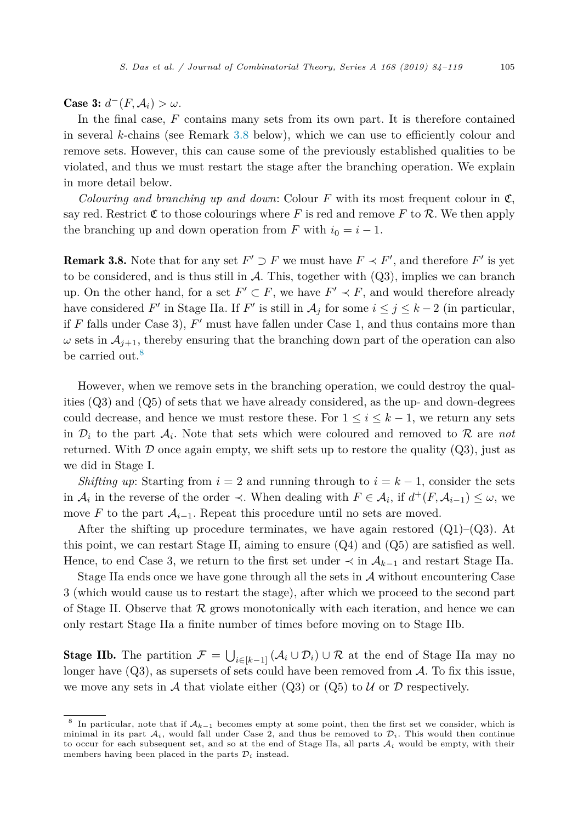Case 3:  $d^-(F, A_i) > \omega$ .

In the final case, *F* contains many sets from its own part. It is therefore contained in several *k*-chains (see Remark 3.8 below), which we can use to efficiently colour and remove sets. However, this can cause some of the previously established qualities to be violated, and thus we must restart the stage after the branching operation. We explain in more detail below.

*Colouring* and *branching up* and *down*: Colour *F* with its most frequent colour in  $\mathfrak{C}$ , say red. Restrict  $\mathfrak C$  to those colourings where F is red and remove F to R. We then apply the branching up and down operation from *F* with  $i_0 = i - 1$ .

**Remark 3.8.** Note that for any set  $F' \supset F$  we must have  $F \prec F'$ , and therefore  $F'$  is yet to be considered, and is thus still in  $A$ . This, together with  $(Q3)$ , implies we can branch up. On the other hand, for a set  $F' \subset F$ , we have  $F' \prec F$ , and would therefore already have considered *F'* in Stage IIa. If *F'* is still in  $A_j$  for some  $i \leq j \leq k-2$  (in particular, if  $F$  falls under Case 3),  $F'$  must have fallen under Case 1, and thus contains more than  $\omega$  sets in  $\mathcal{A}_{i+1}$ , thereby ensuring that the branching down part of the operation can also be carried out.<sup>8</sup>

However, when we remove sets in the branching operation, we could destroy the qualities  $(Q3)$  and  $(Q5)$  of sets that we have already considered, as the up- and down-degrees could decrease, and hence we must restore these. For  $1 \leq i \leq k-1$ , we return any sets in  $\mathcal{D}_i$  to the part  $\mathcal{A}_i$ . Note that sets which were coloured and removed to  $\mathcal{R}$  are *not* returned. With  $\mathcal D$  once again empty, we shift sets up to restore the quality (Q3), just as we did in Stage I.

*Shifting up*: Starting from  $i = 2$  and running through to  $i = k - 1$ , consider the sets in  $\mathcal{A}_i$  in the reverse of the order  $\prec$ . When dealing with  $F \in \mathcal{A}_i$ , if  $d^+(F, \mathcal{A}_{i-1}) \leq \omega$ , we move *F* to the part  $\mathcal{A}_{i-1}$ . Repeat this procedure until no sets are moved.

After the shifting up procedure terminates, we have again restored  $(Q1)$ – $(Q3)$ . At this point, we can restart Stage II, aiming to ensure (Q4) and (Q5) are satisfied as well. Hence, to end Case 3, we return to the first set under  $\prec$  in  $\mathcal{A}_{k-1}$  and restart Stage IIa.

Stage IIa ends once we have gone through all the sets in A without encountering Case 3 (which would cause us to restart the stage), after which we proceed to the second part of Stage II. Observe that  $R$  grows monotonically with each iteration, and hence we can only restart Stage IIa a finite number of times before moving on to Stage IIb.

**Stage IIb.** The partition  $\mathcal{F} = \bigcup_{i \in [k-1]} (\mathcal{A}_i \cup \mathcal{D}_i) \cup \mathcal{R}$  at the end of Stage IIa may no longer have  $(Q3)$ , as supersets of sets could have been removed from  $\mathcal{A}$ . To fix this issue, we move any sets in  $A$  that violate either  $(Q3)$  or  $(Q5)$  to  $U$  or  $D$  respectively.

<sup>&</sup>lt;sup>8</sup> In particular, note that if  $A_{k-1}$  becomes empty at some point, then the first set we consider, which is minimal in its part  $A_i$ , would fall under Case 2, and thus be removed to  $D_i$ . This would then continue to occur for each subsequent set, and so at the end of Stage IIa, all parts  $A_i$  would be empty, with their members having been placed in the parts  $\mathcal{D}_i$  instead.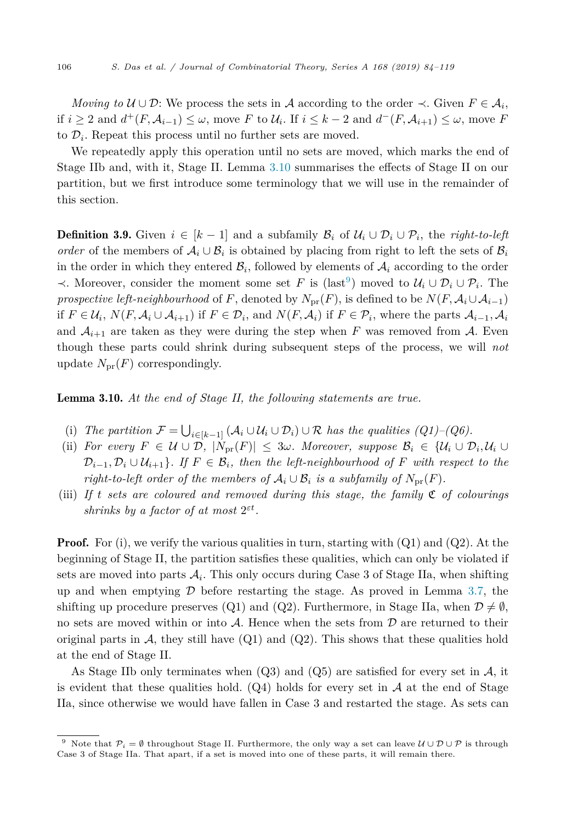<span id="page-22-0"></span>*Moving* to  $U \cup D$ : We process the sets in A according to the order  $\prec$ . Given  $F \in \mathcal{A}_i$ , if  $i \geq 2$  and  $d^+(F, \mathcal{A}_{i-1}) \leq \omega$ , move F to  $\mathcal{U}_i$ . If  $i \leq k-2$  and  $d^-(F, \mathcal{A}_{i+1}) \leq \omega$ , move F to  $\mathcal{D}_i$ . Repeat this process until no further sets are moved.

We repeatedly apply this operation until no sets are moved, which marks the end of Stage IIb and, with it, Stage II. Lemma 3.10 summarises the effects of Stage II on our partition, but we first introduce some terminology that we will use in the remainder of this section.

**Definition 3.9.** Given  $i \in [k-1]$  and a subfamily  $\mathcal{B}_i$  of  $\mathcal{U}_i \cup \mathcal{D}_i \cup \mathcal{P}_i$ , the *right-to-left order* of the members of  $A_i \cup B_i$  is obtained by placing from right to left the sets of  $B_i$ in the order in which they entered  $\mathcal{B}_i$ , followed by elements of  $\mathcal{A}_i$  according to the order  $\prec$ . Moreover, consider the moment some set *F* is (last<sup>9</sup>) moved to  $\mathcal{U}_i \cup \mathcal{D}_i \cup \mathcal{P}_i$ . The *prospective left-neighbourhood* of *F*, denoted by  $N_{\text{pr}}(F)$ , is defined to be  $N(F, \mathcal{A}_i \cup \mathcal{A}_{i-1})$ if *F* ∈  $\mathcal{U}_i$ ,  $N(F, \mathcal{A}_i \cup \mathcal{A}_{i+1})$  if  $F \in \mathcal{D}_i$ , and  $N(F, \mathcal{A}_i)$  if  $F \in \mathcal{P}_i$ , where the parts  $\mathcal{A}_{i-1}, \mathcal{A}_i$ and  $\mathcal{A}_{i+1}$  are taken as they were during the step when *F* was removed from  $\mathcal{A}$ . Even though these parts could shrink during subsequent steps of the process, we will *not* update  $N_{\text{pr}}(F)$  correspondingly.

Lemma 3.10. *At the end of Stage II, the following statements are true.*

- (i) The partition  $\mathcal{F} = \bigcup_{i \in [k-1]} (\mathcal{A}_i \cup \mathcal{U}_i \cup \mathcal{D}_i) \cup \mathcal{R}$  has the qualities  $(Q1)$ – $(Q6)$ .
- (ii) *For every*  $F \in \mathcal{U} \cup \mathcal{D}$ ,  $|\dot{N}_{\text{pr}}(F)| \leq 3\omega$ *. Moreover, suppose*  $\mathcal{B}_i \in \{\mathcal{U}_i \cup \mathcal{D}_i, \mathcal{U}_i \cup \mathcal{D}_i\}$  $\mathcal{D}_{i-1}, \mathcal{D}_i \cup \mathcal{U}_{i+1}$ *f*  $F \in \mathcal{B}_i$ *, then the left-neighbourhood of*  $F$  *with respect to the right-to-left order of the members of*  $A_i \cup B_i$  *is a subfamily of*  $N_{\text{pr}}(F)$ *.*
- (iii) *If t sets are coloured and removed during this stage, the family* C *of colourings shrinks by a factor of at most*  $2^{\varepsilon t}$ *.*

**Proof.** For (i), we verify the various qualities in turn, starting with  $(Q1)$  and  $(Q2)$ . At the beginning of Stage II, the partition satisfies these qualities, which can only be violated if sets are moved into parts  $A_i$ . This only occurs during Case 3 of Stage IIa, when shifting up and when emptying  $\mathcal D$  before restarting the stage. As proved in Lemma [3.7,](#page-19-0) the shifting up procedure preserves (Q1) and (Q2). Furthermore, in Stage IIa, when  $\mathcal{D} \neq \emptyset$ , no sets are moved within or into  $A$ . Hence when the sets from  $D$  are returned to their original parts in  $A$ , they still have  $(Q1)$  and  $(Q2)$ . This shows that these qualities hold at the end of Stage II.

As Stage IIb only terminates when  $(Q3)$  and  $(Q5)$  are satisfied for every set in  $A$ , it is evident that these qualities hold.  $(Q4)$  holds for every set in A at the end of Stage IIa, since otherwise we would have fallen in Case 3 and restarted the stage. As sets can

Note that  $\mathcal{P}_i = \emptyset$  throughout Stage II. Furthermore, the only way a set can leave  $\mathcal{U} \cup \mathcal{D} \cup \mathcal{P}$  is through Case 3 of Stage IIa. That apart, if a set is moved into one of these parts, it will remain there.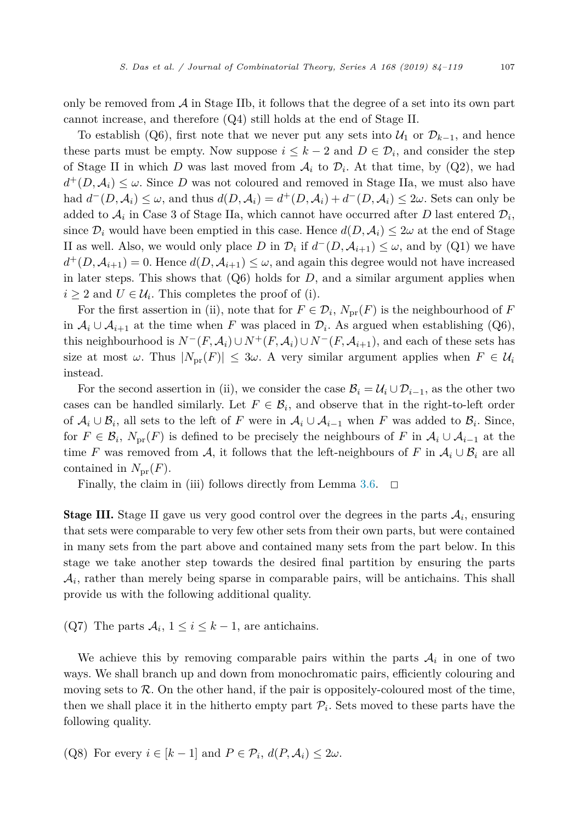only be removed from  $A$  in Stage IIb, it follows that the degree of a set into its own part cannot increase, and therefore (Q4) still holds at the end of Stage II.

To establish (Q6), first note that we never put any sets into  $U_1$  or  $\mathcal{D}_{k-1}$ , and hence these parts must be empty. Now suppose  $i \leq k-2$  and  $D \in \mathcal{D}_i$ , and consider the step of Stage II in which *D* was last moved from  $A_i$  to  $D_i$ . At that time, by  $(Q2)$ , we had  $d^+(D, \mathcal{A}_i) \leq \omega$ . Since D was not coloured and removed in Stage IIa, we must also have had  $d^-(D, \mathcal{A}_i) \leq \omega$ , and thus  $d(D, \mathcal{A}_i) = d^+(D, \mathcal{A}_i) + d^-(D, \mathcal{A}_i) \leq 2\omega$ . Sets can only be added to  $A_i$  in Case 3 of Stage IIa, which cannot have occurred after *D* last entered  $D_i$ , since  $\mathcal{D}_i$  would have been emptied in this case. Hence  $d(D, \mathcal{A}_i) \leq 2\omega$  at the end of Stage II as well. Also, we would only place *D* in  $\mathcal{D}_i$  if  $d^-(D, \mathcal{A}_{i+1}) \leq \omega$ , and by (Q1) we have  $d^+(D, \mathcal{A}_{i+1}) = 0$ . Hence  $d(D, \mathcal{A}_{i+1}) \leq \omega$ , and again this degree would not have increased in later steps. This shows that  $(Q6)$  holds for  $D$ , and a similar argument applies when  $i \geq 2$  and  $U \in \mathcal{U}_i$ . This completes the proof of (i).

For the first assertion in (ii), note that for  $F \in \mathcal{D}_i$ ,  $N_{\text{pr}}(F)$  is the neighbourhood of F in  $A_i \cup A_{i+1}$  at the time when *F* was placed in  $\mathcal{D}_i$ . As argued when establishing (Q6), this neighbourhood is  $N^-(F, \mathcal{A}_i) \cup N^+(F, \mathcal{A}_i) \cup N^-(F, \mathcal{A}_{i+1})$ , and each of these sets has size at most  $\omega$ . Thus  $|N_{\text{pr}}(F)| \leq 3\omega$ . A very similar argument applies when  $F \in \mathcal{U}_i$ instead.

For the second assertion in (ii), we consider the case  $\mathcal{B}_i = \mathcal{U}_i \cup \mathcal{D}_{i-1}$ , as the other two cases can be handled similarly. Let  $F \in \mathcal{B}_i$ , and observe that in the right-to-left order of  $\mathcal{A}_i \cup \mathcal{B}_i$ , all sets to the left of *F* were in  $\mathcal{A}_i \cup \mathcal{A}_{i-1}$  when *F* was added to  $\mathcal{B}_i$ . Since, for  $F \in \mathcal{B}_i$ ,  $N_{\text{pr}}(F)$  is defined to be precisely the neighbours of F in  $\mathcal{A}_i \cup \mathcal{A}_{i-1}$  at the time *F* was removed from A, it follows that the left-neighbours of *F* in  $\mathcal{A}_i \cup \mathcal{B}_i$  are all contained in  $N_{\text{pr}}(F)$ .

Finally, the claim in (iii) follows directly from Lemma [3.6.](#page-18-0)  $\Box$ 

**Stage III.** Stage II gave us very good control over the degrees in the parts  $A_i$ , ensuring that sets were comparable to very few other sets from their own parts, but were contained in many sets from the part above and contained many sets from the part below. In this stage we take another step towards the desired final partition by ensuring the parts  $A_i$ , rather than merely being sparse in comparable pairs, will be antichains. This shall provide us with the following additional quality.

(Q7) The parts  $A_i$ ,  $1 \leq i \leq k-1$ , are antichains.

We achieve this by removing comparable pairs within the parts  $A_i$  in one of two ways. We shall branch up and down from monochromatic pairs, efficiently colouring and moving sets to  $\mathcal{R}$ . On the other hand, if the pair is oppositely-coloured most of the time, then we shall place it in the hitherto empty part  $P_i$ . Sets moved to these parts have the following quality.

(Q8) For every 
$$
i \in [k-1]
$$
 and  $P \in \mathcal{P}_i$ ,  $d(P, \mathcal{A}_i) \leq 2\omega$ .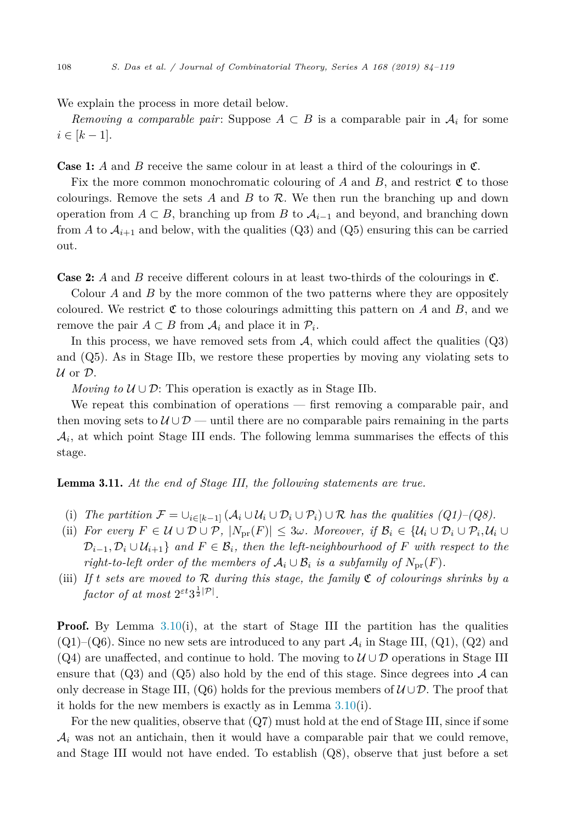<span id="page-24-0"></span>We explain the process in more detail below.

*Removing a comparable pair*: Suppose  $A \subset B$  is a comparable pair in  $A_i$  for some  $i \in [k-1]$ .

Case 1: *A* and *B* receive the same colour in at least a third of the colourings in C.

Fix the more common monochromatic colouring of  $A$  and  $B$ , and restrict  $\mathfrak C$  to those colourings. Remove the sets *A* and *B* to R. We then run the branching up and down operation from  $A \subset B$ , branching up from *B* to  $A_{i-1}$  and beyond, and branching down from *A* to  $A_{i+1}$  and below, with the qualities (Q3) and (Q5) ensuring this can be carried out.

Case 2: *A* and *B* receive different colours in at least two-thirds of the colourings in C.

Colour *A* and *B* by the more common of the two patterns where they are oppositely coloured. We restrict  $\mathfrak C$  to those colourings admitting this pattern on *A* and *B*, and we remove the pair  $A \subset B$  from  $\mathcal{A}_i$  and place it in  $\mathcal{P}_i$ .

In this process, we have removed sets from  $A$ , which could affect the qualities  $(Q3)$ and (Q5). As in Stage IIb, we restore these properties by moving any violating sets to  $U$  or  $D$ .

*Moving to*  $U \cup D$ : This operation is exactly as in Stage IIb.

We repeat this combination of operations — first removing a comparable pair, and then moving sets to  $\mathcal{U} \cup \mathcal{D}$  — until there are no comparable pairs remaining in the parts  $A_i$ , at which point Stage III ends. The following lemma summarises the effects of this stage.

Lemma 3.11. *At the end of Stage III, the following statements are true.*

- (i) *The partition*  $\mathcal{F} = \bigcup_{i \in [k-1]} (\mathcal{A}_i \cup \mathcal{U}_i \cup \mathcal{D}_i \cup \mathcal{P}_i) \cup \mathcal{R}$  *has the qualities*  $(Q1)$ – $(Q8)$ .
- (ii) *For every*  $F \in \mathcal{U} \cup \mathcal{D} \cup \mathcal{P}$ ,  $|N_{\text{pr}}(F)| \leq 3\omega$ *. Moreover, if*  $\mathcal{B}_i \in \{\mathcal{U}_i \cup \mathcal{D}_i \cup \mathcal{P}_i, \mathcal{U}_i \cup \mathcal{P}_i\}$  $\mathcal{D}_{i-1}, \mathcal{D}_i \cup \mathcal{U}_{i+1}$  *and*  $F \in \mathcal{B}_i$ *, then the left-neighbourhood of*  $F$  *with respect to the right-to-left order of the members of*  $A_i \cup B_i$  *is a subfamily of*  $N_{\text{pr}}(F)$ *.*
- (iii) If t sets are moved to R during this stage, the family  $\mathfrak C$  of colourings shrinks by a *factor of at most*  $2^{\varepsilon t}3^{\frac{1}{2}|\mathcal{P}|}$ *.*

**Proof.** By Lemma  $3.10(i)$  $3.10(i)$ , at the start of Stage III the partition has the qualities  $(Q1)$ – $(Q6)$ . Since no new sets are introduced to any part  $\mathcal{A}_i$  in Stage III,  $(Q1)$ ,  $(Q2)$  and (Q4) are unaffected, and continue to hold. The moving to  $\mathcal{U} \cup \mathcal{D}$  operations in Stage III ensure that  $(Q3)$  and  $(Q5)$  also hold by the end of this stage. Since degrees into A can only decrease in Stage III,  $(Q6)$  holds for the previous members of  $U\cup D$ . The proof that it holds for the new members is exactly as in Lemma [3.10\(](#page-22-0)i).

For the new qualities, observe that (Q7) must hold at the end of Stage III, since if some  $A_i$  was not an antichain, then it would have a comparable pair that we could remove, and Stage III would not have ended. To establish (Q8), observe that just before a set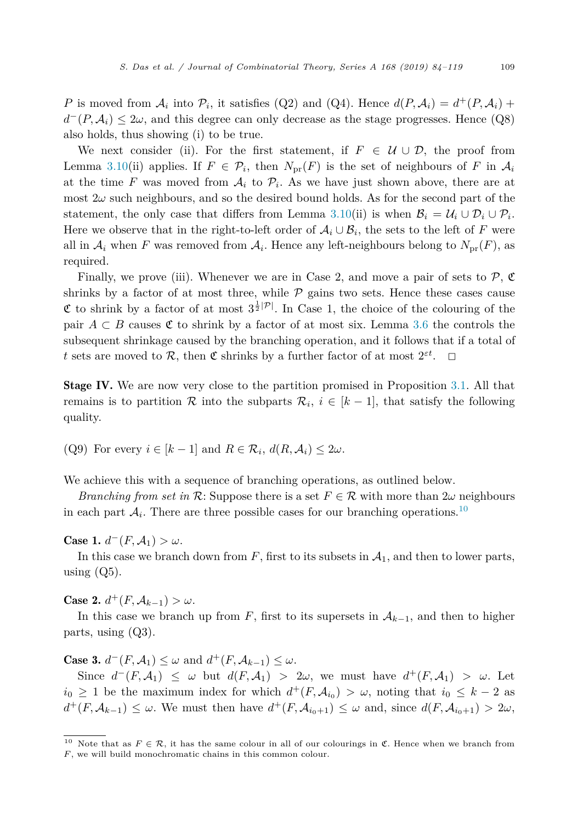*P* is moved from  $\mathcal{A}_i$  into  $\mathcal{P}_i$ , it satisfies (Q2) and (Q4). Hence  $d(P, \mathcal{A}_i) = d^+(P, \mathcal{A}_i) + d$  $d^-(P, A_i) \leq 2\omega$ , and this degree can only decrease as the stage progresses. Hence (Q8) also holds, thus showing (i) to be true.

We next consider (ii). For the first statement, if  $F \in \mathcal{U} \cup \mathcal{D}$ , the proof from Lemma [3.10\(](#page-22-0)ii) applies. If  $F \in \mathcal{P}_i$ , then  $N_{\text{pr}}(F)$  is the set of neighbours of F in  $\mathcal{A}_i$ at the time *F* was moved from  $A_i$  to  $P_i$ . As we have just shown above, there are at most  $2\omega$  such neighbours, and so the desired bound holds. As for the second part of the statement, the only case that differs from Lemma [3.10\(](#page-22-0)ii) is when  $\mathcal{B}_i = \mathcal{U}_i \cup \mathcal{D}_i \cup \mathcal{P}_i$ . Here we observe that in the right-to-left order of  $A_i \cup B_i$ , the sets to the left of *F* were all in  $\mathcal{A}_i$  when *F* was removed from  $\mathcal{A}_i$ . Hence any left-neighbours belong to  $N_{\text{pr}}(F)$ , as required.

Finally, we prove (iii). Whenever we are in Case 2, and move a pair of sets to  $\mathcal{P}, \mathfrak{C}$ shrinks by a factor of at most three, while  $P$  gains two sets. Hence these cases cause  $\mathfrak C$  to shrink by a factor of at most  $3^{\frac{1}{2}|\mathcal P|}$ . In Case 1, the choice of the colouring of the pair  $A \subset B$  causes  $\mathfrak C$  to shrink by a factor of at most six. Lemma [3.6](#page-18-0) the controls the subsequent shrinkage caused by the branching operation, and it follows that if a total of *t* sets are moved to  $\mathcal{R}$ , then  $\mathfrak{C}$  shrinks by a further factor of at most  $2^{\varepsilon t}$ .  $\Box$ 

Stage IV. We are now very close to the partition promised in Proposition [3.1.](#page-11-0) All that remains is to partition R into the subparts  $\mathcal{R}_i$ ,  $i \in [k-1]$ , that satisfy the following quality.

(Q9) For every  $i \in [k-1]$  and  $R \in \mathcal{R}_i$ ,  $d(R, \mathcal{A}_i) < 2\omega$ .

We achieve this with a sequence of branching operations, as outlined below.

*Branching from set in*  $\mathcal{R}$ : Suppose there is a set  $F \in \mathcal{R}$  with more than  $2\omega$  neighbours in each part  $A_i$ . There are three possible cases for our branching operations.<sup>10</sup>

Case 1.  $d^-(F, \mathcal{A}_1) > \omega$ .

In this case we branch down from  $F$ , first to its subsets in  $A_1$ , and then to lower parts, using  $(Q5)$ .

Case 2.  $d^+(F, \mathcal{A}_{k-1}) > \omega$ .

In this case we branch up from *F*, first to its supersets in  $A_{k-1}$ , and then to higher parts, using (Q3).

**Case 3.**  $d^-(F, \mathcal{A}_1) \leq \omega$  and  $d^+(F, \mathcal{A}_{k-1}) \leq \omega$ .

Since  $d^-(F, \mathcal{A}_1) \leq \omega$  but  $d(F, \mathcal{A}_1) > 2\omega$ , we must have  $d^+(F, \mathcal{A}_1) > \omega$ . Let *i*<sup>0</sup> ≥ 1 be the maximum index for which  $d^+(F, A_{i_0}) > \omega$ , noting that *i*<sup>0</sup> ≤ *k* − 2 as  $d^+(F, \mathcal{A}_{k-1}) \leq \omega$ . We must then have  $d^+(F, \mathcal{A}_{i_0+1}) \leq \omega$  and, since  $d(F, \mathcal{A}_{i_0+1}) > 2\omega$ ,

<sup>&</sup>lt;sup>10</sup> Note that as  $F \in \mathcal{R}$ , it has the same colour in all of our colourings in  $\mathfrak{C}$ . Hence when we branch from *F* , we will build monochromatic chains in this common colour.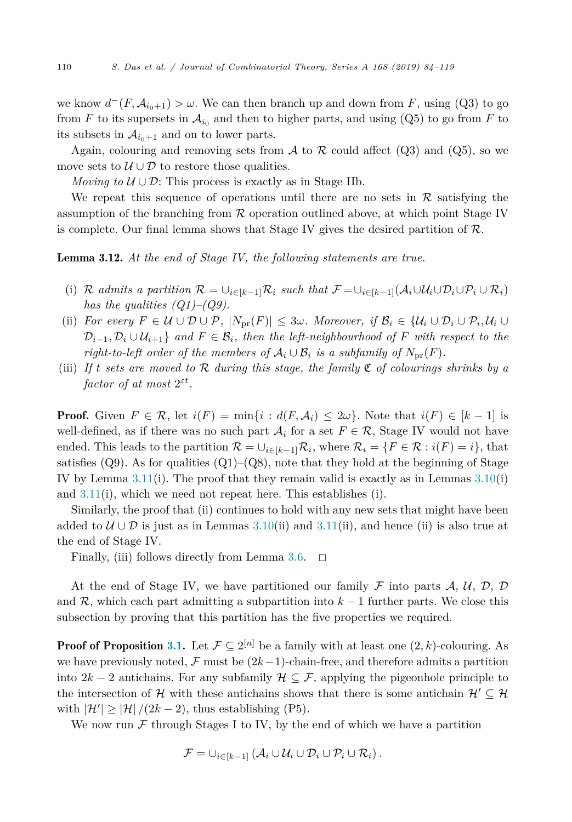<span id="page-26-0"></span>we know  $d^-(F, \mathcal{A}_{i_0+1}) > \omega$ . We can then branch up and down from *F*, using (Q3) to go from *F* to its supersets in  $\mathcal{A}_{i_0}$  and then to higher parts, and using (Q5) to go from *F* to its subsets in  $A_{i_0+1}$  and on to lower parts.

Again, colouring and removing sets from A to R could affect  $(Q3)$  and  $(Q5)$ , so we move sets to  $\mathcal{U} \cup \mathcal{D}$  to restore those qualities.

*Moving to*  $U \cup D$ : This process is exactly as in Stage IIb.

We repeat this sequence of operations until there are no sets in  $\mathcal R$  satisfying the assumption of the branching from  $R$  operation outlined above, at which point Stage IV is complete. Our final lemma shows that Stage IV gives the desired partition of  $\mathcal{R}$ .

Lemma 3.12. *At the end of Stage IV, the following statements are true.*

- (i) R *admits a* partition  $\mathcal{R} = \bigcup_{i \in [k-1]} \mathcal{R}_i$  such that  $\mathcal{F} = \bigcup_{i \in [k-1]} (\mathcal{A}_i \cup \mathcal{U}_i \cup \mathcal{D}_i \cup \mathcal{P}_i \cup \mathcal{R}_i)$ *has the qualities*  $(Q1)–(Q9)$ .
- (ii) *For every*  $F \in \mathcal{U} \cup \mathcal{D} \cup \mathcal{P}$ ,  $|N_{\text{pr}}(F)| \leq 3\omega$ *. Moreover, if*  $\mathcal{B}_i \in \{\mathcal{U}_i \cup \mathcal{D}_i \cup \mathcal{P}_i, \mathcal{U}_i \cup \mathcal{P}_i\}$  $\mathcal{D}_{i-1}, \mathcal{D}_i \cup \mathcal{U}_{i+1}$  *and*  $F \in \mathcal{B}_i$ *, then the left-neighbourhood of*  $F$  *with respect to the right-to-left order of the members of*  $A_i \cup B_i$  *is a subfamily of*  $N_{\text{pr}}(F)$ *.*
- (iii) If t sets are moved to R during this stage, the family  $\mathfrak C$  of colourings shrinks by a *factor of at most*  $2^{\varepsilon t}$ *.*

**Proof.** Given  $F \in \mathcal{R}$ , let  $i(F) = \min\{i : d(F, \mathcal{A}_i) \leq 2\omega\}$ . Note that  $i(F) \in [k-1]$  is well-defined, as if there was no such part  $A_i$  for a set  $F \in \mathcal{R}$ , Stage IV would not have ended. This leads to the partition  $\mathcal{R} = \bigcup_{i \in [k-1]} \mathcal{R}_i$ , where  $\mathcal{R}_i = \{F \in \mathcal{R} : i(F) = i\}$ , that satisfies  $(Q9)$ . As for qualities  $(Q1)$ – $(Q8)$ , note that they hold at the beginning of Stage IV by Lemma  $3.11(i)$  $3.11(i)$ . The proof that they remain valid is exactly as in Lemmas  $3.10(i)$  $3.10(i)$ and [3.11\(](#page-24-0)i), which we need not repeat here. This establishes (i).

Similarly, the proof that (ii) continues to hold with any new sets that might have been added to  $U\cup\mathcal{D}$  is just as in Lemmas [3.10\(](#page-22-0)ii) and [3.11\(](#page-24-0)ii), and hence (ii) is also true at the end of Stage IV.

Finally, (iii) follows directly from Lemma [3.6.](#page-18-0)  $\Box$ 

At the end of Stage IV, we have partitioned our family  $\mathcal F$  into parts  $\mathcal A, \mathcal U, \mathcal D, \mathcal D$ and  $\mathcal{R}$ , which each part admitting a subpartition into  $k-1$  further parts. We close this subsection by proving that this partition has the five properties we required.

**Proof of Proposition [3.1.](#page-11-0)** Let  $\mathcal{F} \subseteq 2^{[n]}$  be a family with at least one  $(2, k)$ -colouring. As we have previously noted,  $\mathcal F$  must be  $(2k-1)$ -chain-free, and therefore admits a partition into  $2k - 2$  antichains. For any subfamily  $\mathcal{H} \subseteq \mathcal{F}$ , applying the pigeonhole principle to the intersection of H with these antichains shows that there is some antichain  $\mathcal{H}' \subseteq \mathcal{H}$ with  $|\mathcal{H}'| \ge |\mathcal{H}|/(2k-2)$ , thus establishing (P5).

We now run  $\mathcal F$  through Stages I to IV, by the end of which we have a partition

$$
\mathcal{F} = \cup_{i \in [k-1]} (\mathcal{A}_i \cup \mathcal{U}_i \cup \mathcal{D}_i \cup \mathcal{P}_i \cup \mathcal{R}_i).
$$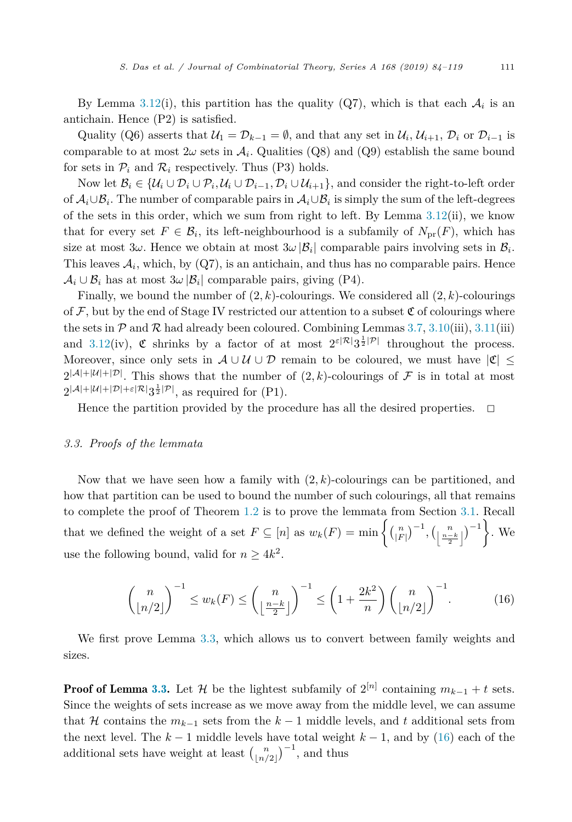<span id="page-27-0"></span>By Lemma [3.12\(](#page-26-0)i), this partition has the quality  $(Q7)$ , which is that each  $A<sub>i</sub>$  is an antichain. Hence (P2) is satisfied.

Quality (Q6) asserts that  $U_1 = \mathcal{D}_{k-1} = \emptyset$ , and that any set in  $\mathcal{U}_i$ ,  $\mathcal{U}_{i+1}$ ,  $\mathcal{D}_i$  or  $\mathcal{D}_{i-1}$  is comparable to at most  $2\omega$  sets in  $\mathcal{A}_i$ . Qualities (Q8) and (Q9) establish the same bound for sets in  $\mathcal{P}_i$  and  $\mathcal{R}_i$  respectively. Thus (P3) holds.

Now let  $\mathcal{B}_i \in \{U_i \cup \mathcal{D}_i \cup \mathcal{P}_i, U_i \cup \mathcal{D}_{i-1}, \mathcal{D}_i \cup U_{i+1}\}\)$ , and consider the right-to-left order of  $\mathcal{A}_i \cup \mathcal{B}_i$ . The number of comparable pairs in  $\mathcal{A}_i \cup \mathcal{B}_i$  is simply the sum of the left-degrees of the sets in this order, which we sum from right to left. By Lemma  $3.12(i)$  $3.12(i)$ , we know that for every set  $F \in \mathcal{B}_i$ , its left-neighbourhood is a subfamily of  $N_{\text{pr}}(F)$ , which has size at most  $3\omega$ . Hence we obtain at most  $3\omega |\mathcal{B}_i|$  comparable pairs involving sets in  $\mathcal{B}_i$ . This leaves  $A_i$ , which, by  $(Q7)$ , is an antichain, and thus has no comparable pairs. Hence  $\mathcal{A}_i \cup \mathcal{B}_i$  has at most  $3\omega |\mathcal{B}_i|$  comparable pairs, giving (P4).

Finally, we bound the number of  $(2, k)$ -colourings. We considered all  $(2, k)$ -colourings of  $\mathcal F$ , but by the end of Stage IV restricted our attention to a subset  $\mathfrak C$  of colourings where the sets in  $\mathcal P$  and  $\mathcal R$  had already been coloured. Combining Lemmas [3.7,](#page-19-0) [3.10\(](#page-22-0)iii), [3.11\(](#page-24-0)iii) and [3.12\(](#page-26-0)iv),  $\mathfrak C$  shrinks by a factor of at most  $2^{\varepsilon |\mathcal{R}|} 3^{\frac{1}{2}|\mathcal{P}|}$  throughout the process. Moreover, since only sets in  $A \cup U \cup D$  remain to be coloured, we must have  $|\mathfrak{C}| \leq$  $2^{|\mathcal{A}|+|\mathcal{U}|+|\mathcal{D}|}$ . This shows that the number of  $(2,k)$ -colourings of F is in total at most  $2^{|\mathcal{A}|+|\mathcal{U}|+|\mathcal{D}|+\varepsilon|\mathcal{R}|}3^{\frac{1}{2}|\mathcal{P}|}$ , as required for (P1).

Hence the partition provided by the procedure has all the desired properties.  $\Box$ 

# *3.3. Proofs of the lemmata*

Now that we have seen how a family with  $(2, k)$ -colourings can be partitioned, and how that partition can be used to bound the number of such colourings, all that remains to complete the proof of Theorem [1.2](#page-4-0) is to prove the lemmata from Section [3.1.](#page-11-0) Recall that we defined the weight of a set  $F \subseteq [n]$  as  $w_k(F) = \min \left\{ {n \choose |F|}^{-1}, {n \choose \left\lfloor \frac{n-k}{2} \right\rfloor} - 1 \right\}$ . We use the following bound, valid for  $n \geq 4k^2$ .

$$
\binom{n}{\lfloor n/2 \rfloor}^{-1} \le w_k(F) \le \binom{n}{\lfloor \frac{n-k}{2} \rfloor}^{-1} \le \left(1 + \frac{2k^2}{n}\right) \binom{n}{\lfloor n/2 \rfloor}^{-1}.\tag{16}
$$

We first prove Lemma [3.3,](#page-12-0) which allows us to convert between family weights and sizes.

**Proof of Lemma [3.3.](#page-12-0)** Let H be the lightest subfamily of  $2^{[n]}$  containing  $m_{k-1} + t$  sets. Since the weights of sets increase as we move away from the middle level, we can assume that H contains the  $m_{k-1}$  sets from the  $k-1$  middle levels, and t additional sets from the next level. The  $k-1$  middle levels have total weight  $k-1$ , and by (16) each of the additional sets have weight at least  $\binom{n}{n}$  $\binom{n}{\lfloor n/2 \rfloor}^{-1}$ , and thus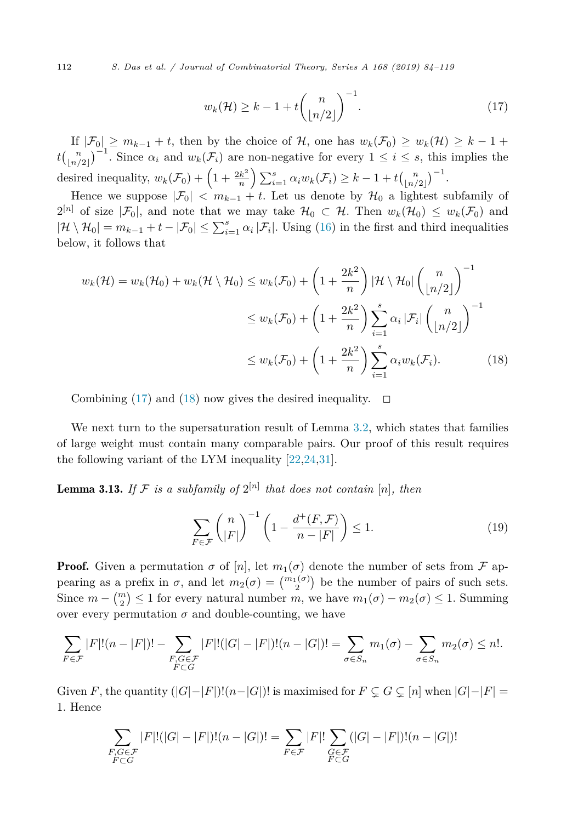<span id="page-28-0"></span>112 *S. Das et al. / Journal of Combinatorial Theory, Series A 168 (2019) 84–119*

$$
w_k(\mathcal{H}) \ge k - 1 + t \binom{n}{\lfloor n/2 \rfloor}^{-1}.\tag{17}
$$

If  $|\mathcal{F}_0| \ge m_{k-1} + t$ , then by the choice of  $\mathcal{H}$ , one has  $w_k(\mathcal{F}_0) \ge w_k(\mathcal{H}) \ge k-1+1$  $t\binom{n}{\ln n}$  $\binom{n}{\lfloor n/2 \rfloor}^{-1}$ . Since  $\alpha_i$  and  $w_k(\mathcal{F}_i)$  are non-negative for every  $1 \leq i \leq s$ , this implies the desired inequality,  $w_k(\mathcal{F}_0) + \left(1 + \frac{2k^2}{n}\right) \sum_{i=1}^s \alpha_i w_k(\mathcal{F}_i) \geq k - 1 + t {n \choose \lfloor n \rfloor}$  $\binom{n}{\lfloor n/2 \rfloor}^{-1}.$ 

Hence we suppose  $|\mathcal{F}_0| < m_{k-1} + t$ . Let us denote by  $\mathcal{H}_0$  a lightest subfamily of  $2^{[n]}$  of size  $|\mathcal{F}_0|$ , and note that we may take  $\mathcal{H}_0 \subset \mathcal{H}$ . Then  $w_k(\mathcal{H}_0) \leq w_k(\mathcal{F}_0)$  and  $|\mathcal{H} \setminus \mathcal{H}_0| = m_{k-1} + t - |\mathcal{F}_0| \le \sum_{i=1}^s \alpha_i |\mathcal{F}_i|$ . Using [\(16\)](#page-27-0) in the first and third inequalities below, it follows that

$$
w_k(\mathcal{H}) = w_k(\mathcal{H}_0) + w_k(\mathcal{H} \setminus \mathcal{H}_0) \le w_k(\mathcal{F}_0) + \left(1 + \frac{2k^2}{n}\right) |\mathcal{H} \setminus \mathcal{H}_0| \left(\frac{n}{\lfloor n/2 \rfloor}\right)^{-1}
$$
  

$$
\le w_k(\mathcal{F}_0) + \left(1 + \frac{2k^2}{n}\right) \sum_{i=1}^s \alpha_i |\mathcal{F}_i| \left(\frac{n}{\lfloor n/2 \rfloor}\right)^{-1}
$$
  

$$
\le w_k(\mathcal{F}_0) + \left(1 + \frac{2k^2}{n}\right) \sum_{i=1}^s \alpha_i w_k(\mathcal{F}_i).
$$
 (18)

Combining (17) and (18) now gives the desired inequality.  $\Box$ 

We next turn to the supersaturation result of Lemma [3.2,](#page-12-0) which states that families of large weight must contain many comparable pairs. Our proof of this result requires the following variant of the LYM inequality [\[22,24,31\]](#page-35-0).

**Lemma 3.13.** If F is a subfamily of  $2^{[n]}$  that does not contain [n], then

$$
\sum_{F \in \mathcal{F}} \binom{n}{|F|}^{-1} \left(1 - \frac{d^+(F, \mathcal{F})}{n - |F|}\right) \le 1. \tag{19}
$$

**Proof.** Given a permutation  $\sigma$  of  $[n]$ , let  $m_1(\sigma)$  denote the number of sets from  $\mathcal F$  appearing as a prefix in  $\sigma$ , and let  $m_2(\sigma) = \binom{m_1(\sigma)}{2}$  be the number of pairs of such sets. Since  $m - {m \choose 2} \le 1$  for every natural number *m*, we have  $m_1(\sigma) - m_2(\sigma) \le 1$ . Summing over every permutation  $\sigma$  and double-counting, we have

$$
\sum_{F \in \mathcal{F}} |F|!(n-|F|)! - \sum_{\substack{F,G \in \mathcal{F} \\ F \subset G}} |F|!(|G|-|F|)!(n-|G|)! = \sum_{\sigma \in S_n} m_1(\sigma) - \sum_{\sigma \in S_n} m_2(\sigma) \le n!.
$$

Given *F*, the quantity  $(|G| - |F|)! (n - |G|)!$  is maximised for  $F \subsetneq G \subsetneq [n]$  when  $|G| - |F|$  = 1. Hence

$$
\sum_{\substack{F,G \in \mathcal{F} \\ F \subset G}} |F|!(|G|-|F|)!(n-|G|)! = \sum_{F \in \mathcal{F}} |F|! \sum_{\substack{G \in \mathcal{F} \\ F \subset G}}(|G|-|F|)!(n-|G|)!
$$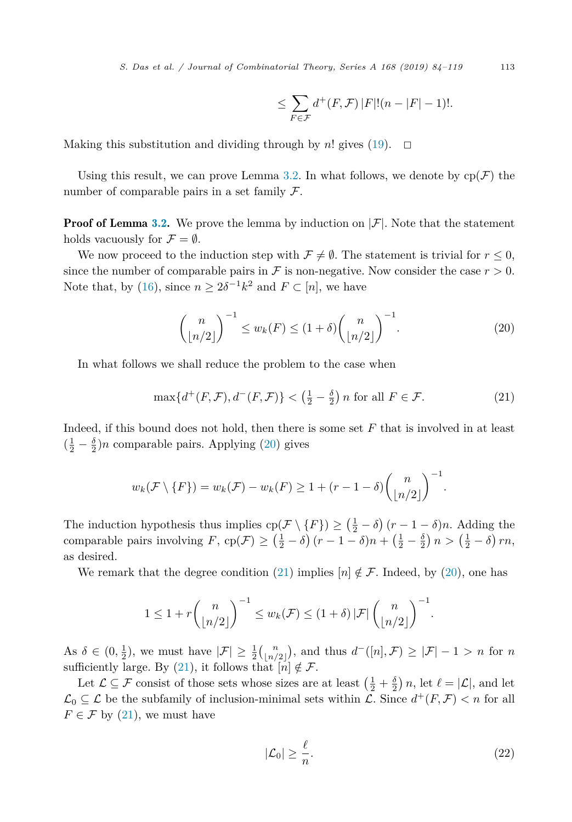$$
\leq \sum_{F \in \mathcal{F}} d^+(F,\mathcal{F}) |F|!(n-|F|-1)!.
$$

<span id="page-29-0"></span>Making this substitution and dividing through by *n*! gives [\(19\)](#page-28-0).  $\Box$ 

Using this result, we can prove Lemma [3.2.](#page-12-0) In what follows, we denote by  $cp(\mathcal{F})$  the number of comparable pairs in a set family  $\mathcal{F}$ .

**Proof of Lemma [3.2.](#page-12-0)** We prove the lemma by induction on  $|\mathcal{F}|$ . Note that the statement holds vacuously for  $\mathcal{F} = \emptyset$ .

We now proceed to the induction step with  $\mathcal{F} \neq \emptyset$ . The statement is trivial for  $r \leq 0$ , since the number of comparable pairs in  $\mathcal F$  is non-negative. Now consider the case  $r > 0$ . Note that, by [\(16\)](#page-27-0), since  $n \geq 2\delta^{-1}k^2$  and  $F \subset [n]$ , we have

$$
\binom{n}{\lfloor n/2 \rfloor}^{-1} \le w_k(F) \le (1+\delta) \binom{n}{\lfloor n/2 \rfloor}^{-1}.
$$
 (20)

In what follows we shall reduce the problem to the case when

$$
\max\{d^+(F,\mathcal{F}), d^-(F,\mathcal{F})\} < \left(\frac{1}{2} - \frac{\delta}{2}\right)n \text{ for all } F \in \mathcal{F}.\tag{21}
$$

Indeed, if this bound does not hold, then there is some set *F* that is involved in at least  $(\frac{1}{2} - \frac{\delta}{2})n$  comparable pairs. Applying (20) gives

$$
w_k(\mathcal{F}\setminus\{F\})=w_k(\mathcal{F})-w_k(F)\geq 1+(r-1-\delta)\binom{n}{\lfloor n/2\rfloor}^{-1}.
$$

The induction hypothesis thus implies  $\text{cp}(\mathcal{F}\setminus\{F\}) \geq \left(\frac{1}{2} - \delta\right)(r - 1 - \delta)n$ . Adding the comparable pairs involving  $F$ ,  $\text{cp}(\mathcal{F}) \geq \left(\frac{1}{2} - \delta\right)(r - 1 - \delta)n + \left(\frac{1}{2} - \frac{\delta}{2}\right)n > \left(\frac{1}{2} - \delta\right)rn$ , as desired.

We remark that the degree condition (21) implies  $[n] \notin \mathcal{F}$ . Indeed, by (20), one has

$$
1 \leq 1 + r \binom{n}{\lfloor n/2 \rfloor}^{-1} \leq w_k(\mathcal{F}) \leq (1+\delta) |\mathcal{F}| \binom{n}{\lfloor n/2 \rfloor}^{-1}.
$$

As  $\delta \in (0, \frac{1}{2})$ , we must have  $|\mathcal{F}| \geq \frac{1}{2} {n \choose \lfloor n/2 \rfloor}$  $\binom{n}{\lfloor n/2 \rfloor}$ , and thus  $d^{-}([n], \mathcal{F}) \geq |\mathcal{F}| - 1 > n$  for *n* sufficiently large. By (21), it follows that  $[n] \notin \mathcal{F}$ .

Let  $\mathcal{L} \subseteq \mathcal{F}$  consist of those sets whose sizes are at least  $(\frac{1}{2} + \frac{\delta}{2})n$ , let  $\ell = |\mathcal{L}|$ , and let  $\mathcal{L}_0 \subseteq \mathcal{L}$  be the subfamily of inclusion-minimal sets within  $\mathcal{L}$ . Since  $d^+(F, \mathcal{F}) < n$  for all  $F \in \mathcal{F}$  by (21), we must have

$$
|\mathcal{L}_0| \ge \frac{\ell}{n}.\tag{22}
$$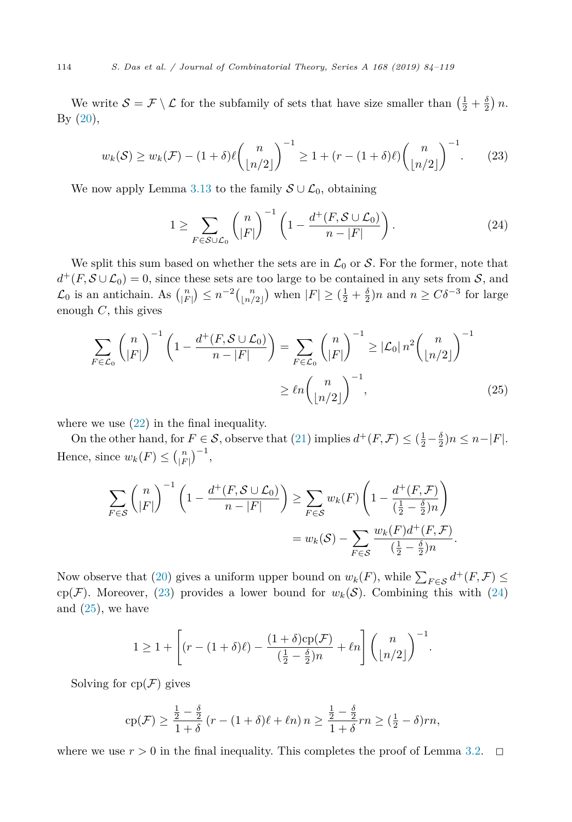We write  $S = \mathcal{F} \setminus \mathcal{L}$  for the subfamily of sets that have size smaller than  $(\frac{1}{2} + \frac{\delta}{2})n$ . By [\(20\)](#page-29-0),

$$
w_k(\mathcal{S}) \ge w_k(\mathcal{F}) - (1+\delta)\ell \binom{n}{\lfloor n/2 \rfloor}^{-1} \ge 1 + (r - (1+\delta)\ell) \binom{n}{\lfloor n/2 \rfloor}^{-1}.
$$
 (23)

We now apply Lemma [3.13](#page-28-0) to the family  $S \cup \mathcal{L}_0$ , obtaining

$$
1 \geq \sum_{F \in \mathcal{S} \cup \mathcal{L}_0} {n \choose |F|}^{-1} \left( 1 - \frac{d^+(F, \mathcal{S} \cup \mathcal{L}_0)}{n - |F|} \right). \tag{24}
$$

We split this sum based on whether the sets are in  $\mathcal{L}_0$  or S. For the former, note that  $d^+(F, \mathcal{S} \cup \mathcal{L}_0) = 0$ , since these sets are too large to be contained in any sets from S, and  $\mathcal{L}_0$  is an antichain. As  $\binom{n}{|F|} \leq n^{-2} \binom{n}{\lfloor n/2 \rfloor}$  $\binom{n}{\lfloor n/2 \rfloor}$  when  $|F| \geq \left(\frac{1}{2} + \frac{\delta}{2}\right)n$  and  $n \geq C\delta^{-3}$  for large enough *C*, this gives

$$
\sum_{F \in \mathcal{L}_0} {n \choose |F|}^{-1} \left(1 - \frac{d^+(F, \mathcal{S} \cup \mathcal{L}_0)}{n - |F|}\right) = \sum_{F \in \mathcal{L}_0} {n \choose |F|}^{-1} \ge |\mathcal{L}_0| n^2 {n \choose \lfloor n/2 \rfloor}^{-1}
$$

$$
\ge \ell n {n \choose \lfloor n/2 \rfloor}^{-1}, \tag{25}
$$

where we use  $(22)$  in the final inequality.

On the other hand, for  $F \in \mathcal{S}$ , observe that [\(21\)](#page-29-0) implies  $d^+(F, \mathcal{F}) \leq (\frac{1}{2} - \frac{\delta}{2})n \leq n - |F|$ . Hence, since  $w_k(F) \leq {n \choose |F|}^{-1}$ ,

$$
\sum_{F \in \mathcal{S}} {n \choose |F|}^{-1} \left(1 - \frac{d^+(F, \mathcal{S} \cup \mathcal{L}_0)}{n - |F|}\right) \ge \sum_{F \in \mathcal{S}} w_k(F) \left(1 - \frac{d^+(F, \mathcal{F})}{\left(\frac{1}{2} - \frac{\delta}{2}\right)n}\right)
$$
  
=  $w_k(\mathcal{S}) - \sum_{F \in \mathcal{S}} \frac{w_k(F)d^+(F, \mathcal{F})}{\left(\frac{1}{2} - \frac{\delta}{2}\right)n}.$ 

Now observe that [\(20\)](#page-29-0) gives a uniform upper bound on  $w_k(F)$ , while  $\sum_{F \in \mathcal{S}} d^+(F, \mathcal{F}) \leq$ cp(F). Moreover, (23) provides a lower bound for  $w_k(S)$ . Combining this with (24) and  $(25)$ , we have

$$
1 \ge 1 + \left[ (r - (1 + \delta)\ell) - \frac{(1 + \delta)\mathrm{cp}(\mathcal{F})}{(\frac{1}{2} - \frac{\delta}{2})n} + \ell n \right] {n \choose \lfloor n/2 \rfloor}^{-1}.
$$

Solving for  $cp(\mathcal{F})$  gives

$$
cp(\mathcal{F}) \ge \frac{\frac{1}{2} - \frac{\delta}{2}}{1 + \delta} (r - (1 + \delta)\ell + \ell n) n \ge \frac{\frac{1}{2} - \frac{\delta}{2}}{1 + \delta} rn \ge (\frac{1}{2} - \delta) rn,
$$

where we use  $r > 0$  in the final inequality. This completes the proof of Lemma [3.2.](#page-12-0)  $\Box$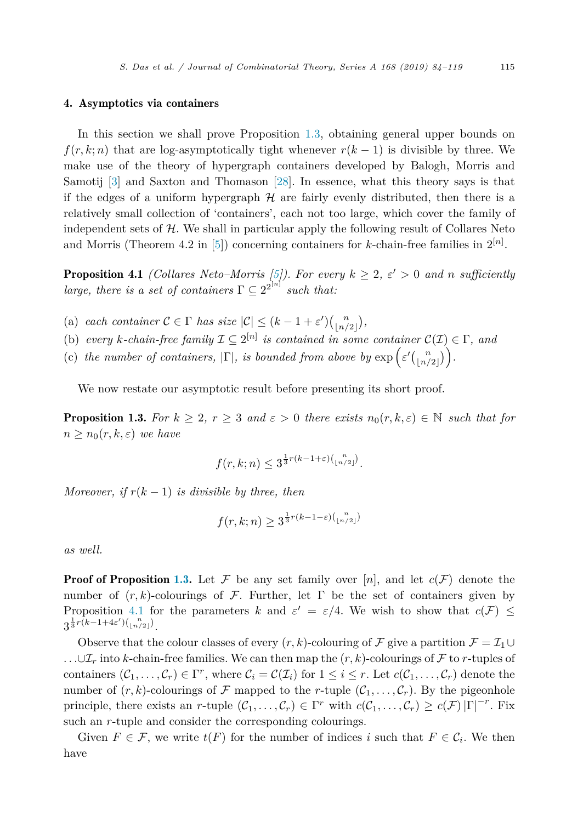### <span id="page-31-0"></span>4. Asymptotics via containers

In this section we shall prove Proposition [1.3,](#page-4-0) obtaining general upper bounds on  $f(r, k; n)$  that are log-asymptotically tight whenever  $r(k-1)$  is divisible by three. We make use of the theory of hypergraph containers developed by Balogh, Morris and Samotij [\[3\]](#page-34-0) and Saxton and Thomason [\[28\]](#page-35-0). In essence, what this theory says is that if the edges of a uniform hypergraph  $\mathcal H$  are fairly evenly distributed, then there is a relatively small collection of 'containers', each not too large, which cover the family of independent sets of  $H$ . We shall in particular apply the following result of Collares Neto and Morris (Theorem 4.2 in [\[5\]](#page-34-0)) concerning containers for *k*-chain-free families in  $2^{|n|}$ .

**Proposition 4.1** *(Collares Neto–Morris*  $[5]$ *). For every*  $k \geq 2$ ,  $\varepsilon' > 0$  and *n* sufficiently *large, there is a set of containers*  $\Gamma \subseteq 2^{2^{|n|}}$  *such that:* 

- (a) *each container*  $C \in \Gamma$  *has size*  $|C| \leq (k 1 + \varepsilon')\binom{n}{\lfloor n/2 \rfloor}$  $\binom{n}{\lfloor n/2 \rfloor}$
- (b) *every k*-chain-free family  $\mathcal{I} \subseteq 2^{[n]}$  is contained in some container  $\mathcal{C}(\mathcal{I}) \in \Gamma$ , and
- (c) the number of containers,  $|\Gamma|$ , is bounded from above by  $\exp\left(\varepsilon'\left(\frac{n}{\ln n}\right)\right)$  $\binom{n}{\lfloor n/2 \rfloor}$ .

We now restate our asymptotic result before presenting its short proof.

**Proposition 1.3.** For  $k \geq 2$ ,  $r \geq 3$  and  $\varepsilon > 0$  there exists  $n_0(r, k, \varepsilon) \in \mathbb{N}$  such that for  $n \geq n_0(r, k, \varepsilon)$  *we have* 

$$
f(r,k;n) \leq 3^{\frac{1}{3}r(k-1+\varepsilon)\binom{n}{\lfloor n/2\rfloor}}.
$$

*Moreover, if*  $r(k-1)$  *is divisible by three, then* 

$$
f(r,k;n) \ge 3^{\frac{1}{3}r(k-1-\varepsilon)\binom{n}{\lfloor n/2\rfloor}}
$$

*as well.*

**Proof of Proposition [1.3.](#page-4-0)** Let F be any set family over  $[n]$ , and let  $c(F)$  denote the number of  $(r, k)$ -colourings of F. Further, let  $\Gamma$  be the set of containers given by Proposition 4.1 for the parameters *k* and  $\varepsilon' = \varepsilon/4$ . We wish to show that  $c(\mathcal{F}) \leq$  $3^{\frac{1}{3}r(k-1+4\varepsilon')\binom{n}{\lfloor n/2\rfloor}}$ .

Observe that the colour classes of every  $(r, k)$ -colouring of  $\mathcal F$  give a partition  $\mathcal F = \mathcal I_1 \cup$ *...*∪I*<sup>r</sup>* into *k*-chain-free families. We can then map the (*r, k*)-colourings of F to *r*-tuples of containers  $(C_1, \ldots, C_r) \in \Gamma^r$ , where  $C_i = \mathcal{C}(\mathcal{I}_i)$  for  $1 \leq i \leq r$ . Let  $c(C_1, \ldots, C_r)$  denote the number of  $(r, k)$ -colourings of F mapped to the *r*-tuple  $(C_1, \ldots, C_r)$ . By the pigeonhole principle, there exists an *r*-tuple  $(C_1, \ldots, C_r) \in \Gamma^r$  with  $c(C_1, \ldots, C_r) \geq c(\mathcal{F}) |\Gamma|^{-r}$ . Fix such an *r*-tuple and consider the corresponding colourings.

Given  $F \in \mathcal{F}$ , we write  $t(F)$  for the number of indices *i* such that  $F \in \mathcal{C}_i$ . We then have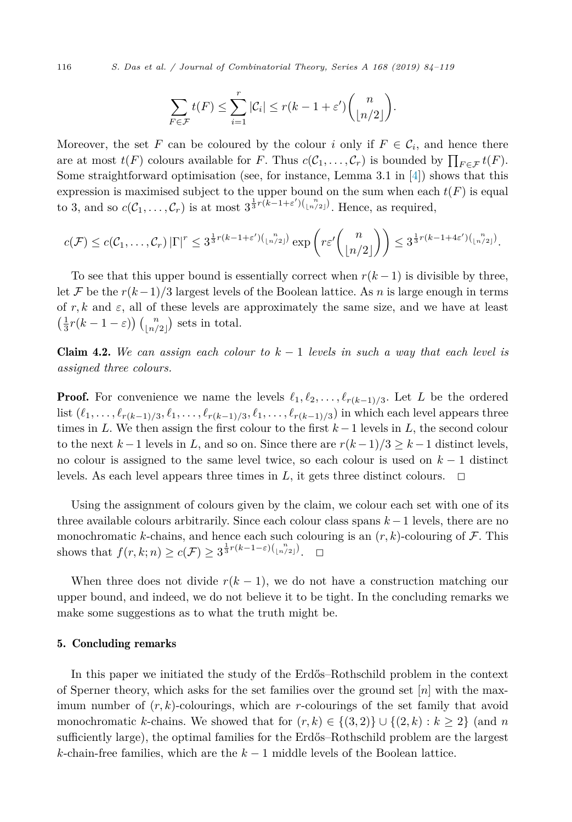<span id="page-32-0"></span>116 *S. Das et al. / Journal of Combinatorial Theory, Series A 168 (2019) 84–119*

$$
\sum_{F \in \mathcal{F}} t(F) \le \sum_{i=1}^r |\mathcal{C}_i| \le r(k-1+\varepsilon') {n \choose \lfloor n/2 \rfloor}.
$$

Moreover, the set F can be coloured by the colour *i* only if  $F \in C_i$ , and hence there are at most  $t(F)$  colours available for *F*. Thus  $c(C_1, \ldots, C_r)$  is bounded by  $\prod_{F \in \mathcal{F}} t(F)$ . Some straightforward optimisation (see, for instance, Lemma 3.1 in  $[4]$ ) shows that this expression is maximised subject to the upper bound on the sum when each  $t(F)$  is equal to 3, and so  $c(C_1, \ldots, C_r)$  is at most  $3^{\frac{1}{3}r(k-1+\varepsilon')\binom{n}{\lfloor n/2\rfloor}}$ . Hence, as required,

$$
c(\mathcal{F}) \leq c(\mathcal{C}_1,\ldots,\mathcal{C}_r) \left|\Gamma\right|^r \leq 3^{\frac{1}{3}r(k-1+\varepsilon')\binom{n}{\lfloor n/2\rfloor}}\exp\left(r\varepsilon'\binom{n}{\lfloor n/2\rfloor}\right) \leq 3^{\frac{1}{3}r(k-1+4\varepsilon')\binom{n}{\lfloor n/2\rfloor}}.
$$

To see that this upper bound is essentially correct when  $r(k-1)$  is divisible by three, let F be the  $r(k-1)/3$  largest levels of the Boolean lattice. As *n* is large enough in terms of  $r, k$  and  $\varepsilon$ , all of these levels are approximately the same size, and we have at least  $\left(\frac{1}{3}r(k-1-\varepsilon)\right)\binom{n}{\lfloor n/2\rfloor}$  $\binom{n}{\lfloor n/2 \rfloor}$  sets in total.

**Claim 4.2.** We can assign each colour to  $k-1$  levels in such a way that each level is *assigned three colours.*

**Proof.** For convenience we name the levels  $\ell_1, \ell_2, \ldots, \ell_{r(k-1)/3}$ . Let *L* be the ordered list  $(\ell_1, \ldots, \ell_{r(k-1)/3}, \ell_1, \ldots, \ell_{r(k-1)/3}, \ell_1, \ldots, \ell_{r(k-1)/3})$  in which each level appears three times in *L*. We then assign the first colour to the first *k* −1 levels in *L*, the second colour to the next  $k-1$  levels in *L*, and so on. Since there are  $r(k-1)/3 \geq k-1$  distinct levels, no colour is assigned to the same level twice, so each colour is used on *k* − 1 distinct levels. As each level appears three times in  $L$ , it gets three distinct colours.  $\Box$ 

Using the assignment of colours given by the claim, we colour each set with one of its three available colours arbitrarily. Since each colour class spans *k* −1 levels, there are no monochromatic *k*-chains, and hence each such colouring is an  $(r, k)$ -colouring of  $\mathcal F$ . This shows that  $f(r, k; n) \ge c(\mathcal{F}) \ge 3^{\frac{1}{3}r(k-1-\varepsilon)\binom{n}{\lfloor n/2 \rfloor}}$  $\Box$ 

When three does not divide  $r(k-1)$ , we do not have a construction matching our upper bound, and indeed, we do not believe it to be tight. In the concluding remarks we make some suggestions as to what the truth might be.

# 5. Concluding remarks

In this paper we initiated the study of the Erdős–Rothschild problem in the context of Sperner theory, which asks for the set families over the ground set [*n*] with the maximum number of  $(r, k)$ -colourings, which are *r*-colourings of the set family that avoid monochromatic *k*-chains. We showed that for  $(r, k) \in \{(3, 2)\} \cup \{(2, k) : k \geq 2\}$  (and *n* sufficiently large), the optimal families for the Erdős–Rothschild problem are the largest *k*-chain-free families, which are the *k* − 1 middle levels of the Boolean lattice.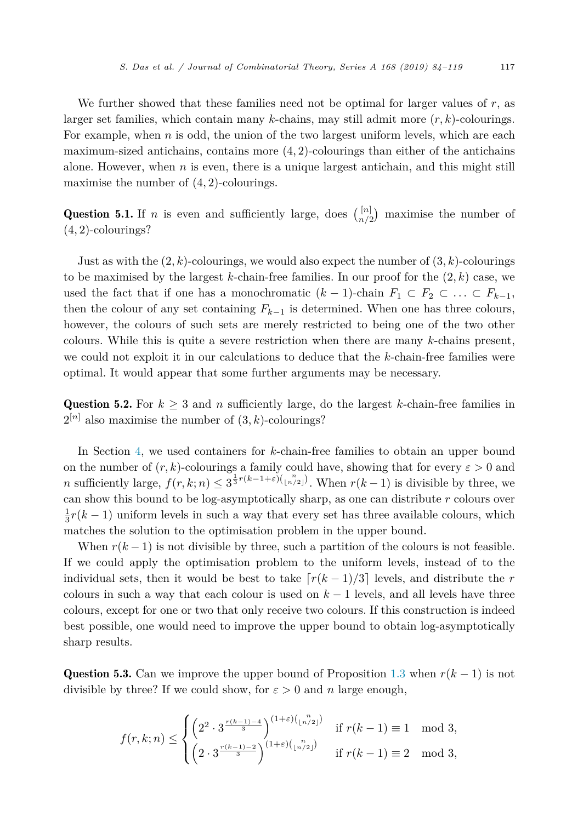We further showed that these families need not be optimal for larger values of *r*, as larger set families, which contain many *k*-chains, may still admit more (*r, k*)-colourings. For example, when *n* is odd, the union of the two largest uniform levels, which are each maximum-sized antichains, contains more (4*,* 2)-colourings than either of the antichains alone. However, when *n* is even, there is a unique largest antichain, and this might still maximise the number of (4*,* 2)-colourings.

**Question 5.1.** If *n* is even and sufficiently large, does  $\binom{n}{n}$  $\binom{[n]}{n/2}$  maximise the number of (4*,* 2)-colourings?

Just as with the  $(2, k)$ -colourings, we would also expect the number of  $(3, k)$ -colourings to be maximised by the largest *k*-chain-free families. In our proof for the  $(2, k)$  case, we used the fact that if one has a monochromatic  $(k-1)$ -chain  $F_1 \subset F_2 \subset \ldots \subset F_{k-1}$ , then the colour of any set containing  $F_{k-1}$  is determined. When one has three colours, however, the colours of such sets are merely restricted to being one of the two other colours. While this is quite a severe restriction when there are many *k*-chains present, we could not exploit it in our calculations to deduce that the *k*-chain-free families were optimal. It would appear that some further arguments may be necessary.

Question 5.2. For  $k \geq 3$  and *n* sufficiently large, do the largest *k*-chain-free families in  $2^{[n]}$  also maximise the number of  $(3, k)$ -colourings?

In Section [4,](#page-31-0) we used containers for *k*-chain-free families to obtain an upper bound on the number of  $(r, k)$ -colourings a family could have, showing that for every  $\varepsilon > 0$  and *n* sufficiently large,  $f(r, k; n) \leq 3^{\frac{1}{3}r(k-1+\varepsilon)\binom{n}{\lfloor n/2\rfloor}}$ . When  $r(k-1)$  is divisible by three, we can show this bound to be log-asymptotically sharp, as one can distribute *r* colours over  $\frac{1}{3}r(k-1)$  uniform levels in such a way that every set has three available colours, which matches the solution to the optimisation problem in the upper bound.

When  $r(k-1)$  is not divisible by three, such a partition of the colours is not feasible. If we could apply the optimisation problem to the uniform levels, instead of to the individual sets, then it would be best to take  $\lceil r(k-1)/3 \rceil$  levels, and distribute the *r* colours in such a way that each colour is used on  $k-1$  levels, and all levels have three colours, except for one or two that only receive two colours. If this construction is indeed best possible, one would need to improve the upper bound to obtain log-asymptotically sharp results.

Question 5.3. Can we improve the upper bound of Proposition [1.3](#page-4-0) when  $r(k-1)$  is not divisible by three? If we could show, for  $\varepsilon > 0$  and *n* large enough,

$$
f(r,k;n) \leq \begin{cases} \left(2^2 \cdot 3^{\frac{r(k-1)-4}{3}}\right)^{(1+\varepsilon)\binom{n}{\lfloor n/2 \rfloor}} & \text{if } r(k-1) \equiv 1 \mod 3, \\ \left(2 \cdot 3^{\frac{r(k-1)-2}{3}}\right)^{(1+\varepsilon)\binom{n}{\lfloor n/2 \rfloor}} & \text{if } r(k-1) \equiv 2 \mod 3, \end{cases}
$$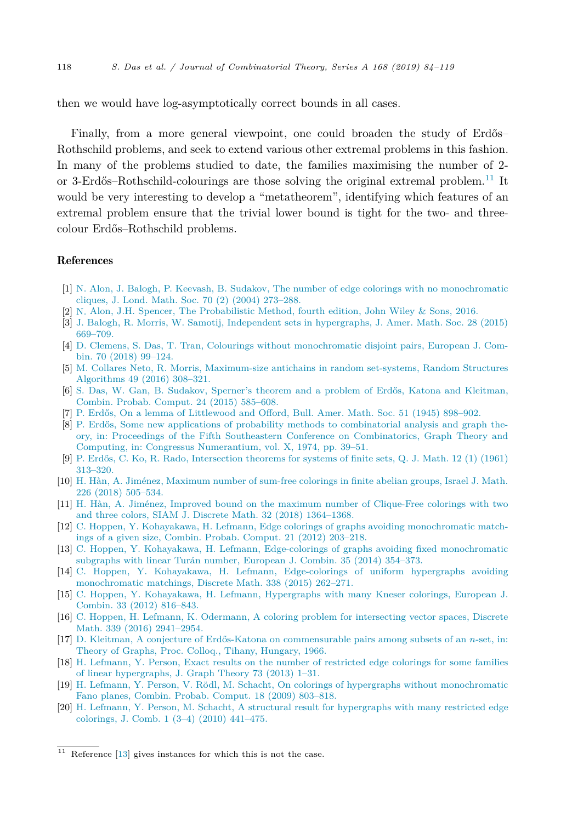<span id="page-34-0"></span>then we would have log-asymptotically correct bounds in all cases.

Finally, from a more general viewpoint, one could broaden the study of Erdős– Rothschild problems, and seek to extend various other extremal problems in this fashion. In many of the problems studied to date, the families maximising the number of 2 or 3-Erdős–Rothschild-colourings are those solving the original extremal problem.<sup>11</sup> It would be very interesting to develop a "metatheorem", identifying which features of an extremal problem ensure that the trivial lower bound is tight for the two- and threecolour Erdős–Rothschild problems.

# References

- [1] N. Alon, J. Balogh, P. Keevash, B. Sudakov, The number of edge colorings with no [monochromatic](http://refhub.elsevier.com/S0097-3165(19)30075-5/bib41424B533034s1) cliques, J. Lond. Math. Soc. 70 (2) (2004) [273–288.](http://refhub.elsevier.com/S0097-3165(19)30075-5/bib41424B533034s1)
- [2] N. Alon, J.H. Spencer, The [Probabilistic](http://refhub.elsevier.com/S0097-3165(19)30075-5/bib41533136s1) Method, fourth edition, John Wiley & Sons, 2016.
- [3] J. Balogh, R. Morris, W. Samotij, Independent sets in [hypergraphs,](http://refhub.elsevier.com/S0097-3165(19)30075-5/bib424D533135s1) J. Amer. Math. Soc. 28 (2015) [669–709.](http://refhub.elsevier.com/S0097-3165(19)30075-5/bib424D533135s1)
- [4] D. Clemens, S. Das, T. Tran, Colourings without [monochromatic](http://refhub.elsevier.com/S0097-3165(19)30075-5/bib4344543136s1) disjoint pairs, European J. Combin. 70 (2018) [99–124.](http://refhub.elsevier.com/S0097-3165(19)30075-5/bib4344543136s1)
- [5] M. Collares Neto, R. Morris, [Maximum-size](http://refhub.elsevier.com/S0097-3165(19)30075-5/bib434D3135s1) antichains in random set-systems, Random Structures [Algorithms](http://refhub.elsevier.com/S0097-3165(19)30075-5/bib434D3135s1) 49 (2016) 308–321.
- [6] S. Das, W. Gan, B. Sudakov, Sperner's theorem and a problem of Erdős, Katona and [Kleitman,](http://refhub.elsevier.com/S0097-3165(19)30075-5/bib4447533135s1) Combin. Probab. [Comput.](http://refhub.elsevier.com/S0097-3165(19)30075-5/bib4447533135s1) 24 (2015) 585–608.
- [7] P. Erdős, On a lemma of [Littlewood](http://refhub.elsevier.com/S0097-3165(19)30075-5/bib4572643435s1) and Offord, Bull. Amer. Math. Soc. 51 (1945) 898–902.
- [8] P. Erdős, Some new applications of probability methods to [combinatorial](http://refhub.elsevier.com/S0097-3165(19)30075-5/bib4572643734s1) analysis and graph theory, in: Proceedings of the Fifth Southeastern Conference on [Combinatorics,](http://refhub.elsevier.com/S0097-3165(19)30075-5/bib4572643734s1) Graph Theory and Computing, in: Congressus [Numerantium,](http://refhub.elsevier.com/S0097-3165(19)30075-5/bib4572643734s1) vol. X, 1974, pp. 39–51.
- [9] P. Erdős, C. Ko, R. Rado, [Intersection](http://refhub.elsevier.com/S0097-3165(19)30075-5/bib454B523631s1) theorems for systems of finite sets, Q. J. Math. 12 (1) (1961) [313–320.](http://refhub.elsevier.com/S0097-3165(19)30075-5/bib454B523631s1)
- [10] H. Hàn, A. Jiménez, [Maximum](http://refhub.elsevier.com/S0097-3165(19)30075-5/bib484A3137s1) number of sum-free colorings in finite abelian groups, Israel J. Math. 226 (2018) [505–534.](http://refhub.elsevier.com/S0097-3165(19)30075-5/bib484A3137s1)
- [11] H. Hàn, A. Jiménez, Improved bound on the maximum number of [Clique-Free](http://refhub.elsevier.com/S0097-3165(19)30075-5/bib484A3138s1) colorings with two and three colors, SIAM J. Discrete Math. 32 (2018) [1364–1368.](http://refhub.elsevier.com/S0097-3165(19)30075-5/bib484A3138s1)
- [12] C. Hoppen, Y. Kohayakawa, H. Lefmann, Edge colorings of graphs avoiding [monochromatic](http://refhub.elsevier.com/S0097-3165(19)30075-5/bib484B4C313261s1) matchings of a given size, Combin. Probab. [Comput.](http://refhub.elsevier.com/S0097-3165(19)30075-5/bib484B4C313261s1) 21 (2012) 203–218.
- [13] C. Hoppen, Y. Kohayakawa, H. Lefmann, Edge-colorings of graphs avoiding fixed [monochromatic](http://refhub.elsevier.com/S0097-3165(19)30075-5/bib484B4C3134s1) [subgraphs](http://refhub.elsevier.com/S0097-3165(19)30075-5/bib484B4C3134s1) with linear Turán number, European J. Combin. 35 (2014) 354–373.
- [14] C. Hoppen, Y. Kohayakawa, H. Lefmann, [Edge-colorings](http://refhub.elsevier.com/S0097-3165(19)30075-5/bib484B4C3135s1) of uniform hypergraphs avoiding [monochromatic](http://refhub.elsevier.com/S0097-3165(19)30075-5/bib484B4C3135s1) matchings, Discrete Math. 338 (2015) 262–271.
- [15] C. Hoppen, Y. [Kohayakawa,](http://refhub.elsevier.com/S0097-3165(19)30075-5/bib484B4C313262s1) H. Lefmann, Hypergraphs with many Kneser colorings, European J. Combin. 33 (2012) [816–843.](http://refhub.elsevier.com/S0097-3165(19)30075-5/bib484B4C313262s1)
- [16] C. Hoppen, H. Lefmann, K. Odermann, A coloring problem for [intersecting](http://refhub.elsevier.com/S0097-3165(19)30075-5/bib484C4F3136s1) vector spaces, Discrete Math. 339 (2016) [2941–2954.](http://refhub.elsevier.com/S0097-3165(19)30075-5/bib484C4F3136s1)
- [17] D. Kleitman, A conjecture of Erdős-Katona on [commensurable](http://refhub.elsevier.com/S0097-3165(19)30075-5/bib4B6C653636s1) pairs among subsets of an *n*-set, in: Theory of Graphs, Proc. Colloq., Tihany, [Hungary,](http://refhub.elsevier.com/S0097-3165(19)30075-5/bib4B6C653636s1) 1966.
- [18] H. Lefmann, Y. Person, Exact results on the number of [restricted](http://refhub.elsevier.com/S0097-3165(19)30075-5/bib4C503133s1) edge colorings for some families of linear [hypergraphs,](http://refhub.elsevier.com/S0097-3165(19)30075-5/bib4C503133s1) J. Graph Theory 73 (2013) 1–31.
- [19] H. Lefmann, Y. Person, V. Rödl, M. Schacht, On colorings of hypergraphs without [monochromatic](http://refhub.elsevier.com/S0097-3165(19)30075-5/bib4C5052533039s1) Fano planes, Combin. Probab. [Comput.](http://refhub.elsevier.com/S0097-3165(19)30075-5/bib4C5052533039s1) 18 (2009) 803–818.
- [20] H. Lefmann, Y. Person, M. Schacht, A structural result for [hypergraphs](http://refhub.elsevier.com/S0097-3165(19)30075-5/bib4C50533130s1) with many restricted edge [colorings,](http://refhub.elsevier.com/S0097-3165(19)30075-5/bib4C50533130s1) J. Comb. 1 (3–4) (2010) 441–475.

 $^{11}\,$  Reference [13] gives instances for which this is not the case.